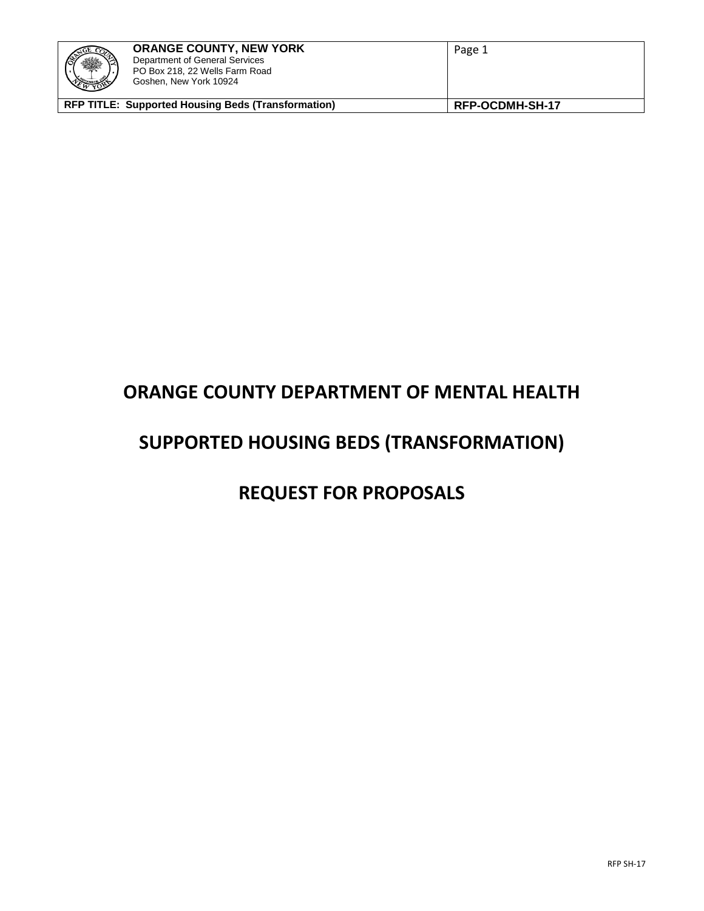| ※<br>$\frac{1}{\sqrt{2}}$                                 | <b>ORANGE COUNTY, NEW YORK</b><br>Department of General Services<br>PO Box 218, 22 Wells Farm Road<br>Goshen, New York 10924 | Page 1          |
|-----------------------------------------------------------|------------------------------------------------------------------------------------------------------------------------------|-----------------|
| <b>RFP TITLE: Supported Housing Beds (Transformation)</b> |                                                                                                                              | RFP-OCDMH-SH-17 |

# **ORANGE COUNTY DEPARTMENT OF MENTAL HEALTH**

# **SUPPORTED HOUSING BEDS (TRANSFORMATION)**

# **REQUEST FOR PROPOSALS**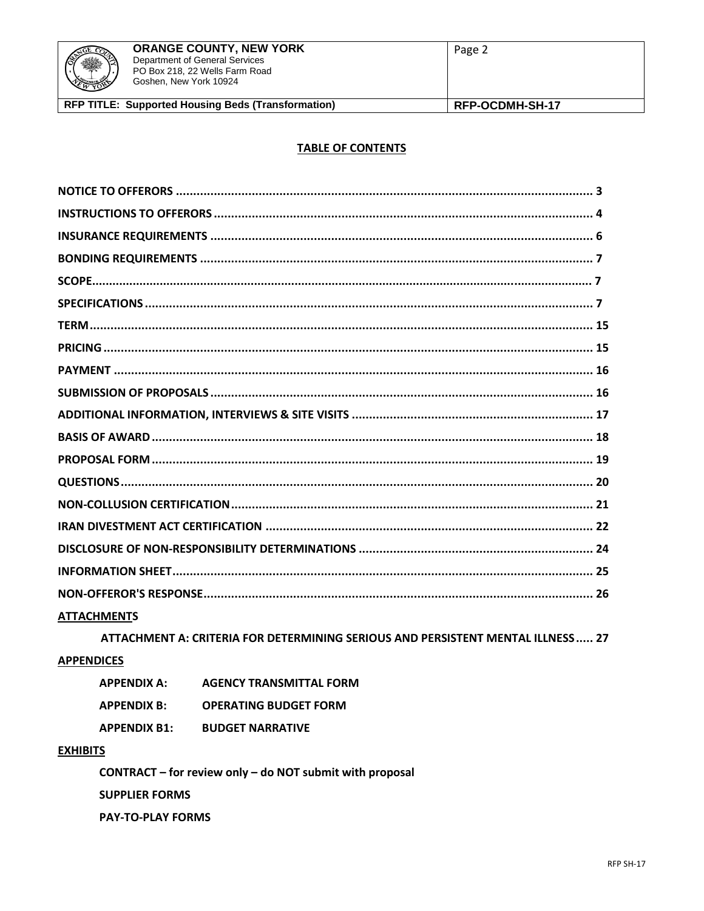

#### **TABLE OF CONTENTS**

| <b>ATTACHMENTS</b> |  |
|--------------------|--|
|                    |  |

ATTACHMENT A: CRITERIA FOR DETERMINING SERIOUS AND PERSISTENT MENTAL ILLNESS ..... 27

# **APPENDICES**

| <b>APPENDIX A:</b>  | <b>AGENCY TRANSMITTAL FORM</b> |
|---------------------|--------------------------------|
| <b>APPENDIX B:</b>  | <b>OPERATING BUDGET FORM</b>   |
| <b>APPENDIX B1:</b> | <b>BUDGET NARRATIVE</b>        |

#### **EXHIBITS**

CONTRACT - for review only - do NOT submit with proposal **SUPPLIER FORMS PAY-TO-PLAY FORMS**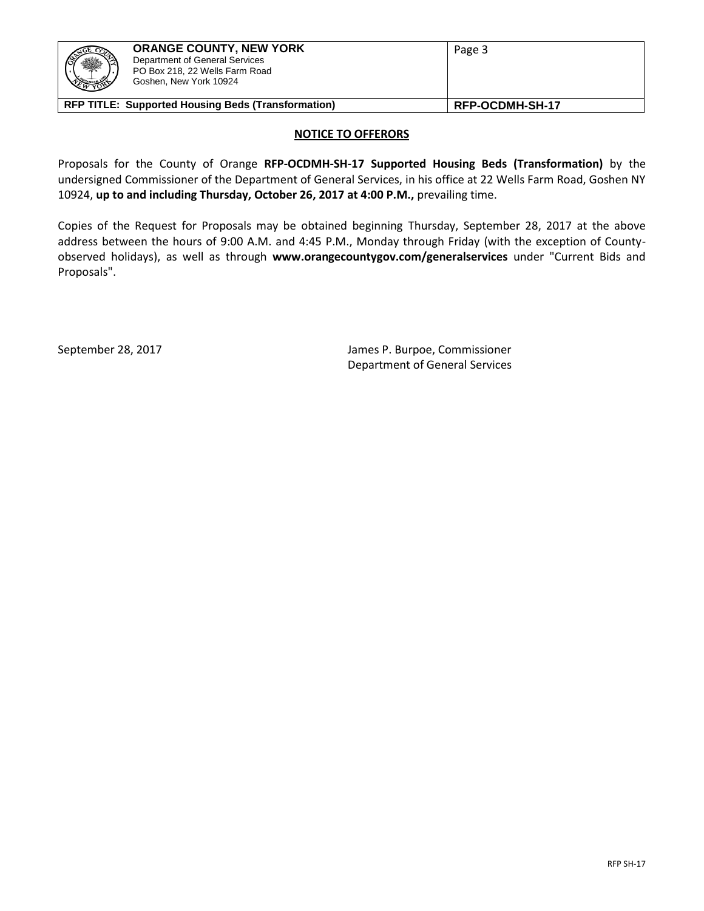

#### **NOTICE TO OFFERORS**

Proposals for the County of Orange **RFP-OCDMH-SH-17 Supported Housing Beds (Transformation)** by the undersigned Commissioner of the Department of General Services, in his office at 22 Wells Farm Road, Goshen NY 10924, **up to and including Thursday, October 26, 2017 at 4:00 P.M.,** prevailing time.

Copies of the Request for Proposals may be obtained beginning Thursday, September 28, 2017 at the above address between the hours of 9:00 A.M. and 4:45 P.M., Monday through Friday (with the exception of Countyobserved holidays), as well as through **www.orangecountygov.com/generalservices** under "Current Bids and Proposals".

September 28, 2017 James P. Burpoe, Commissioner Department of General Services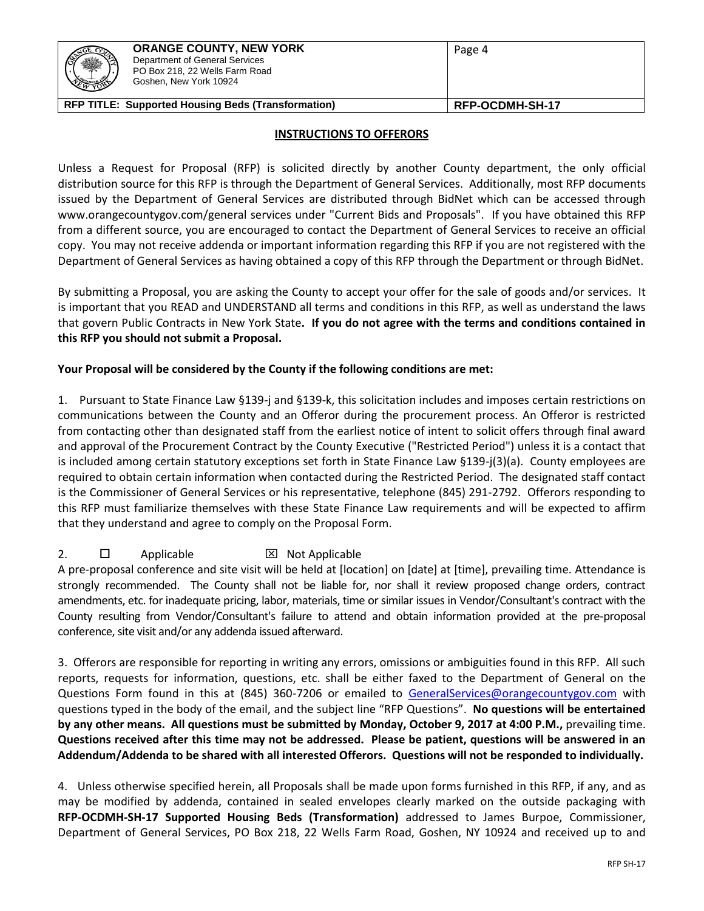|--|

# **INSTRUCTIONS TO OFFERORS**

Unless a Request for Proposal (RFP) is solicited directly by another County department, the only official distribution source for this RFP is through the Department of General Services. Additionally, most RFP documents issued by the Department of General Services are distributed through BidNet which can be accessed through www.orangecountygov.com/general services under "Current Bids and Proposals". If you have obtained this RFP from a different source, you are encouraged to contact the Department of General Services to receive an official copy. You may not receive addenda or important information regarding this RFP if you are not registered with the Department of General Services as having obtained a copy of this RFP through the Department or through BidNet.

By submitting a Proposal, you are asking the County to accept your offer for the sale of goods and/or services. It is important that you READ and UNDERSTAND all terms and conditions in this RFP, as well as understand the laws that govern Public Contracts in New York State**. If you do not agree with the terms and conditions contained in this RFP you should not submit a Proposal.**

# **Your Proposal will be considered by the County if the following conditions are met:**

1.Pursuant to State Finance Law §139-j and §139-k, this solicitation includes and imposes certain restrictions on communications between the County and an Offeror during the procurement process. An Offeror is restricted from contacting other than designated staff from the earliest notice of intent to solicit offers through final award and approval of the Procurement Contract by the County Executive ("Restricted Period") unless it is a contact that is included among certain statutory exceptions set forth in State Finance Law §139-j(3)(a). County employees are required to obtain certain information when contacted during the Restricted Period. The designated staff contact is the Commissioner of General Services or his representative, telephone (845) 291-2792. Offerors responding to this RFP must familiarize themselves with these State Finance Law requirements and will be expected to affirm that they understand and agree to comply on the Proposal Form.

# 2.  $\Box$  Applicable  $\boxtimes$  Not Applicable

A pre-proposal conference and site visit will be held at [location] on [date] at [time], prevailing time. Attendance is strongly recommended. The County shall not be liable for, nor shall it review proposed change orders, contract amendments, etc. for inadequate pricing, labor, materials, time or similar issues in Vendor/Consultant's contract with the County resulting from Vendor/Consultant's failure to attend and obtain information provided at the pre-proposal conference, site visit and/or any addenda issued afterward.

3. Offerors are responsible for reporting in writing any errors, omissions or ambiguities found in this RFP. All such reports, requests for information, questions, etc. shall be either faxed to the Department of General on the Questions Form found in this at (845) 360-7206 or emailed to [GeneralServices@orangecountygov.com](mailto:GeneralServices@orangecountygov.com) with questions typed in the body of the email, and the subject line "RFP Questions". **No questions will be entertained by any other means. All questions must be submitted by Monday, October 9, 2017 at 4:00 P.M.,** prevailing time. **Questions received after this time may not be addressed. Please be patient, questions will be answered in an Addendum/Addenda to be shared with all interested Offerors. Questions will not be responded to individually.** 

4.Unless otherwise specified herein, all Proposals shall be made upon forms furnished in this RFP, if any, and as may be modified by addenda, contained in sealed envelopes clearly marked on the outside packaging with **RFP-OCDMH-SH-17 Supported Housing Beds (Transformation)** addressed to James Burpoe, Commissioner, Department of General Services, PO Box 218, 22 Wells Farm Road, Goshen, NY 10924 and received up to and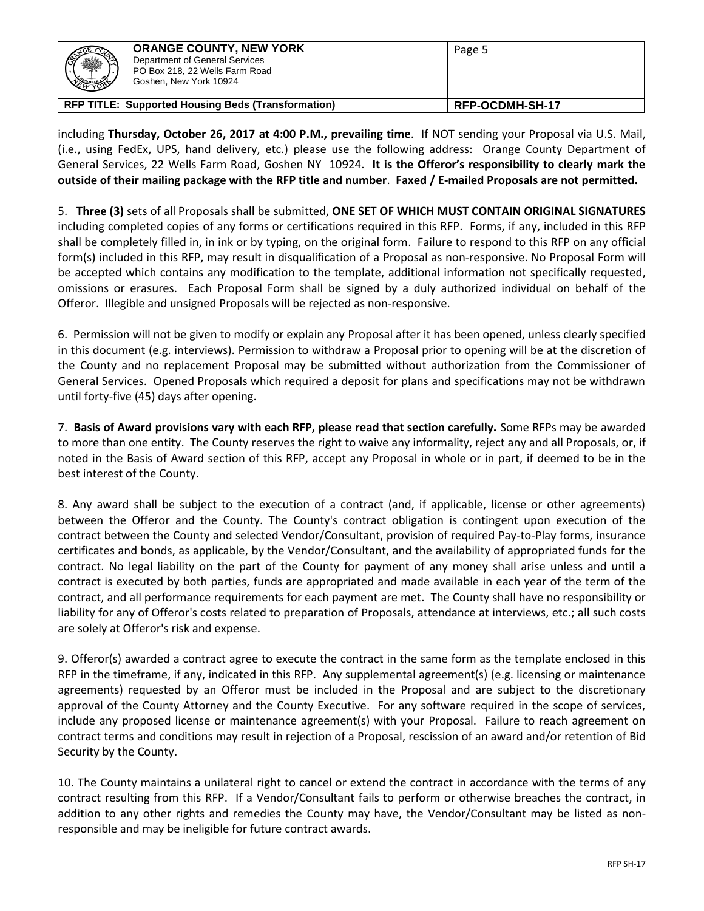| ※ | <b>ORANGE COUNTY, NEW YORK</b><br>Department of General Services<br>PO Box 218, 22 Wells Farm Road<br>Goshen, New York 10924 | Page 5          |
|---|------------------------------------------------------------------------------------------------------------------------------|-----------------|
|   | <b>RFP TITLE: Supported Housing Beds (Transformation)</b>                                                                    | RFP-OCDMH-SH-17 |

including **Thursday, October 26, 2017 at 4:00 P.M., prevailing time**. If NOT sending your Proposal via U.S. Mail, (i.e., using FedEx, UPS, hand delivery, etc.) please use the following address: Orange County Department of General Services, 22 Wells Farm Road, Goshen NY 10924. **It is the Offeror's responsibility to clearly mark the outside of their mailing package with the RFP title and number**. **Faxed / E-mailed Proposals are not permitted.**

5. **Three (3)** sets of all Proposals shall be submitted, **ONE SET OF WHICH MUST CONTAIN ORIGINAL SIGNATURES**  including completed copies of any forms or certifications required in this RFP. Forms, if any, included in this RFP shall be completely filled in, in ink or by typing, on the original form. Failure to respond to this RFP on any official form(s) included in this RFP, may result in disqualification of a Proposal as non-responsive. No Proposal Form will be accepted which contains any modification to the template, additional information not specifically requested, omissions or erasures. Each Proposal Form shall be signed by a duly authorized individual on behalf of the Offeror. Illegible and unsigned Proposals will be rejected as non-responsive.

6. Permission will not be given to modify or explain any Proposal after it has been opened, unless clearly specified in this document (e.g. interviews). Permission to withdraw a Proposal prior to opening will be at the discretion of the County and no replacement Proposal may be submitted without authorization from the Commissioner of General Services. Opened Proposals which required a deposit for plans and specifications may not be withdrawn until forty-five (45) days after opening.

7. **Basis of Award provisions vary with each RFP, please read that section carefully.** Some RFPs may be awarded to more than one entity. The County reserves the right to waive any informality, reject any and all Proposals, or, if noted in the Basis of Award section of this RFP, accept any Proposal in whole or in part, if deemed to be in the best interest of the County.

8. Any award shall be subject to the execution of a contract (and, if applicable, license or other agreements) between the Offeror and the County. The County's contract obligation is contingent upon execution of the contract between the County and selected Vendor/Consultant, provision of required Pay-to-Play forms, insurance certificates and bonds, as applicable, by the Vendor/Consultant, and the availability of appropriated funds for the contract. No legal liability on the part of the County for payment of any money shall arise unless and until a contract is executed by both parties, funds are appropriated and made available in each year of the term of the contract, and all performance requirements for each payment are met. The County shall have no responsibility or liability for any of Offeror's costs related to preparation of Proposals, attendance at interviews, etc.; all such costs are solely at Offeror's risk and expense.

9. Offeror(s) awarded a contract agree to execute the contract in the same form as the template enclosed in this RFP in the timeframe, if any, indicated in this RFP. Any supplemental agreement(s) (e.g. licensing or maintenance agreements) requested by an Offeror must be included in the Proposal and are subject to the discretionary approval of the County Attorney and the County Executive. For any software required in the scope of services, include any proposed license or maintenance agreement(s) with your Proposal. Failure to reach agreement on contract terms and conditions may result in rejection of a Proposal, rescission of an award and/or retention of Bid Security by the County.

10. The County maintains a unilateral right to cancel or extend the contract in accordance with the terms of any contract resulting from this RFP. If a Vendor/Consultant fails to perform or otherwise breaches the contract, in addition to any other rights and remedies the County may have, the Vendor/Consultant may be listed as nonresponsible and may be ineligible for future contract awards.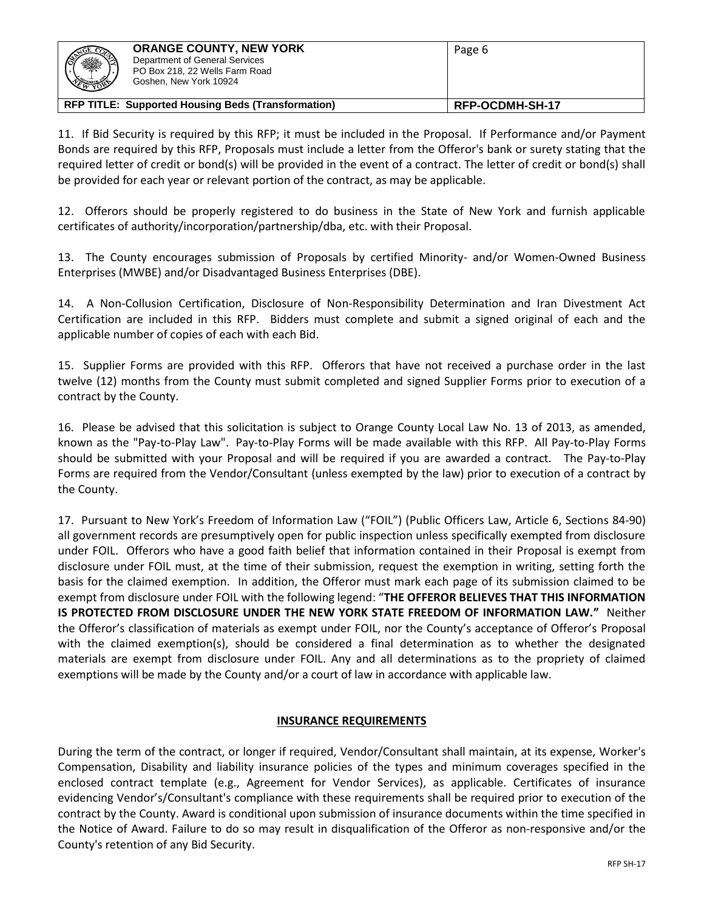| ※ | <b>ORANGE COUNTY, NEW YORK</b><br>Department of General Services<br>PO Box 218, 22 Wells Farm Road<br>Goshen, New York 10924 | Page 6          |
|---|------------------------------------------------------------------------------------------------------------------------------|-----------------|
|   | <b>RFP TITLE: Supported Housing Beds (Transformation)</b>                                                                    | RFP-OCDMH-SH-17 |

11. If Bid Security is required by this RFP; it must be included in the Proposal. If Performance and/or Payment Bonds are required by this RFP, Proposals must include a letter from the Offeror's bank or surety stating that the required letter of credit or bond(s) will be provided in the event of a contract. The letter of credit or bond(s) shall be provided for each year or relevant portion of the contract, as may be applicable.

12. Offerors should be properly registered to do business in the State of New York and furnish applicable certificates of authority/incorporation/partnership/dba, etc. with their Proposal.

13. The County encourages submission of Proposals by certified Minority- and/or Women-Owned Business Enterprises (MWBE) and/or Disadvantaged Business Enterprises (DBE).

14. A Non-Collusion Certification, Disclosure of Non-Responsibility Determination and Iran Divestment Act Certification are included in this RFP. Bidders must complete and submit a signed original of each and the applicable number of copies of each with each Bid.

15. Supplier Forms are provided with this RFP. Offerors that have not received a purchase order in the last twelve (12) months from the County must submit completed and signed Supplier Forms prior to execution of a contract by the County.

16. Please be advised that this solicitation is subject to Orange County Local Law No. 13 of 2013, as amended, known as the "Pay-to-Play Law". Pay-to-Play Forms will be made available with this RFP. All Pay-to-Play Forms should be submitted with your Proposal and will be required if you are awarded a contract. The Pay-to-Play Forms are required from the Vendor/Consultant (unless exempted by the law) prior to execution of a contract by the County.

17. Pursuant to New York's Freedom of Information Law ("FOIL") (Public Officers Law, Article 6, Sections 84-90) all government records are presumptively open for public inspection unless specifically exempted from disclosure under FOIL. Offerors who have a good faith belief that information contained in their Proposal is exempt from disclosure under FOIL must, at the time of their submission, request the exemption in writing, setting forth the basis for the claimed exemption. In addition, the Offeror must mark each page of its submission claimed to be exempt from disclosure under FOIL with the following legend: "**THE OFFEROR BELIEVES THAT THIS INFORMATION IS PROTECTED FROM DISCLOSURE UNDER THE NEW YORK STATE FREEDOM OF INFORMATION LAW."** Neither the Offeror's classification of materials as exempt under FOIL, nor the County's acceptance of Offeror's Proposal with the claimed exemption(s), should be considered a final determination as to whether the designated materials are exempt from disclosure under FOIL. Any and all determinations as to the propriety of claimed exemptions will be made by the County and/or a court of law in accordance with applicable law.

# **INSURANCE REQUIREMENTS**

During the term of the contract, or longer if required, Vendor/Consultant shall maintain, at its expense, Worker's Compensation, Disability and liability insurance policies of the types and minimum coverages specified in the enclosed contract template (e.g., Agreement for Vendor Services), as applicable. Certificates of insurance evidencing Vendor's/Consultant's compliance with these requirements shall be required prior to execution of the contract by the County. Award is conditional upon submission of insurance documents within the time specified in the Notice of Award. Failure to do so may result in disqualification of the Offeror as non-responsive and/or the County's retention of any Bid Security.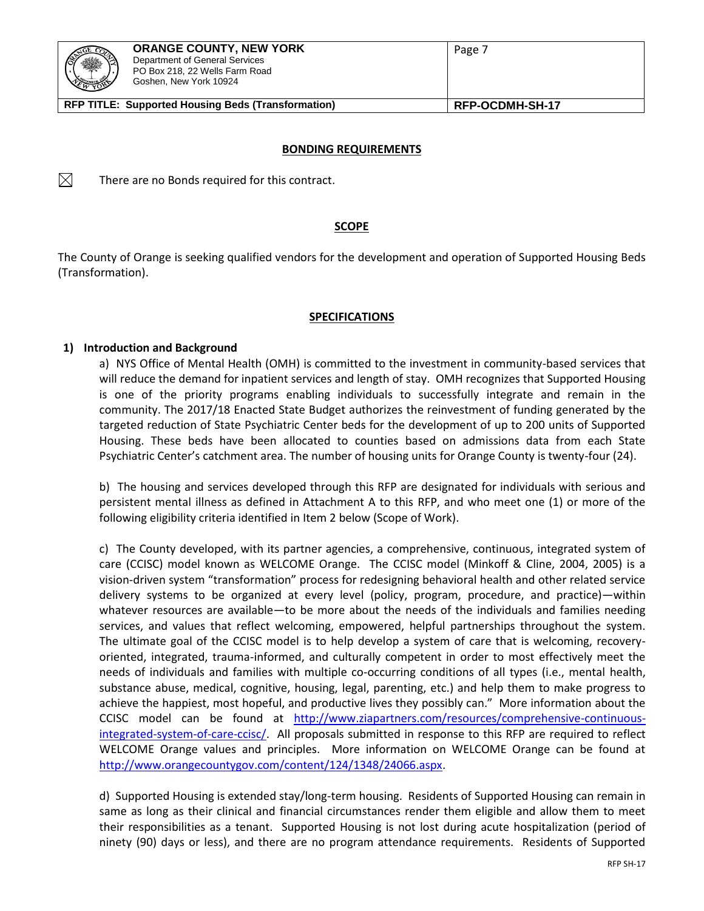

 $\boxtimes$ 

#### **BONDING REQUIREMENTS**

There are no Bonds required for this contract.

#### **SCOPE**

The County of Orange is seeking qualified vendors for the development and operation of Supported Housing Beds (Transformation).

# **SPECIFICATIONS**

#### **1) Introduction and Background**

a) NYS Office of Mental Health (OMH) is committed to the investment in community-based services that will reduce the demand for inpatient services and length of stay. OMH recognizes that Supported Housing is one of the priority programs enabling individuals to successfully integrate and remain in the community. The 2017/18 Enacted State Budget authorizes the reinvestment of funding generated by the targeted reduction of State Psychiatric Center beds for the development of up to 200 units of Supported Housing. These beds have been allocated to counties based on admissions data from each State Psychiatric Center's catchment area. The number of housing units for Orange County is twenty-four (24).

b) The housing and services developed through this RFP are designated for individuals with serious and persistent mental illness as defined in Attachment A to this RFP, and who meet one (1) or more of the following eligibility criteria identified in Item 2 below (Scope of Work).

c) The County developed, with its partner agencies, a comprehensive, continuous, integrated system of care (CCISC) model known as WELCOME Orange. The CCISC model (Minkoff & Cline, 2004, 2005) is a vision-driven system "transformation" process for redesigning behavioral health and other related service delivery systems to be organized at every level (policy, program, procedure, and practice)—within whatever resources are available—to be more about the needs of the individuals and families needing services, and values that reflect welcoming, empowered, helpful partnerships throughout the system. The ultimate goal of the CCISC model is to help develop a system of care that is welcoming, recoveryoriented, integrated, trauma-informed, and culturally competent in order to most effectively meet the needs of individuals and families with multiple co-occurring conditions of all types (i.e., mental health, substance abuse, medical, cognitive, housing, legal, parenting, etc.) and help them to make progress to achieve the happiest, most hopeful, and productive lives they possibly can." More information about the CCISC model can be found at [http://www.ziapartners.com/resources/comprehensive-continuous](http://www.ziapartners.com/resources/comprehensive-continuous-integrated-system-of-care-ccisc/)[integrated-system-of-care-ccisc/.](http://www.ziapartners.com/resources/comprehensive-continuous-integrated-system-of-care-ccisc/) All proposals submitted in response to this RFP are required to reflect WELCOME Orange values and principles. More information on WELCOME Orange can be found at [http://www.orangecountygov.com/content/124/1348/24066.aspx.](http://www.orangecountygov.com/content/124/1348/24066.aspx)

d) Supported Housing is extended stay/long-term housing. Residents of Supported Housing can remain in same as long as their clinical and financial circumstances render them eligible and allow them to meet their responsibilities as a tenant. Supported Housing is not lost during acute hospitalization (period of ninety (90) days or less), and there are no program attendance requirements. Residents of Supported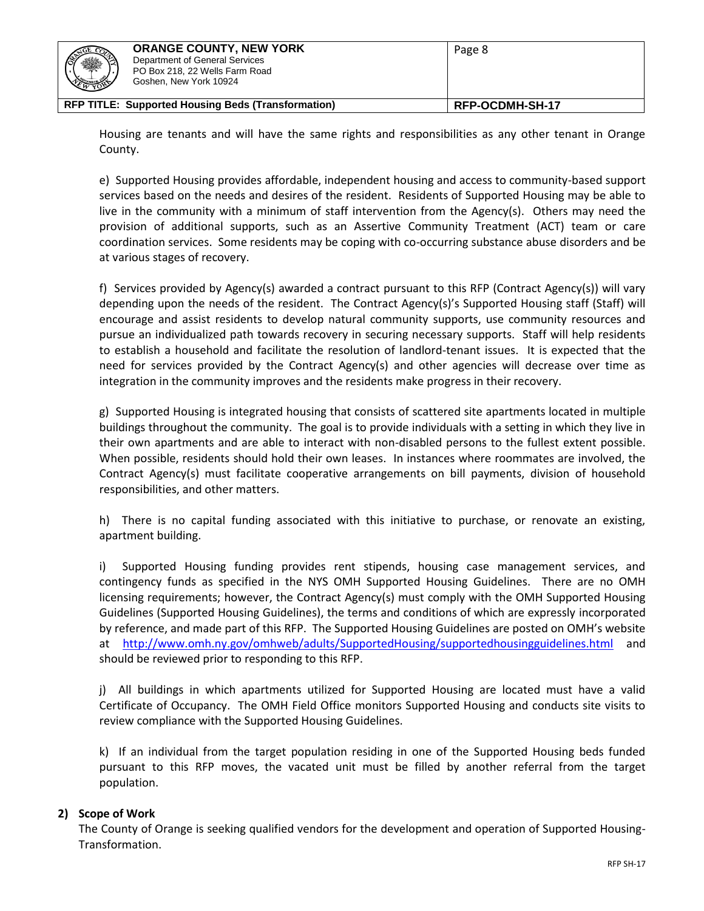| (N<br>$\frac{1}{2}$ | <b>ORANGE COUNTY, NEW YORK</b><br>Department of General Services<br>PO Box 218, 22 Wells Farm Road<br>Goshen, New York 10924 | Page 8          |
|---------------------|------------------------------------------------------------------------------------------------------------------------------|-----------------|
|                     | <b>RFP TITLE: Supported Housing Beds (Transformation)</b>                                                                    | RFP-OCDMH-SH-17 |

Housing are tenants and will have the same rights and responsibilities as any other tenant in Orange County.

e) Supported Housing provides affordable, independent housing and access to community-based support services based on the needs and desires of the resident. Residents of Supported Housing may be able to live in the community with a minimum of staff intervention from the Agency(s). Others may need the provision of additional supports, such as an Assertive Community Treatment (ACT) team or care coordination services. Some residents may be coping with co-occurring substance abuse disorders and be at various stages of recovery.

f) Services provided by Agency(s) awarded a contract pursuant to this RFP (Contract Agency(s)) will vary depending upon the needs of the resident. The Contract Agency(s)'s Supported Housing staff (Staff) will encourage and assist residents to develop natural community supports, use community resources and pursue an individualized path towards recovery in securing necessary supports. Staff will help residents to establish a household and facilitate the resolution of landlord-tenant issues. It is expected that the need for services provided by the Contract Agency(s) and other agencies will decrease over time as integration in the community improves and the residents make progress in their recovery.

g) Supported Housing is integrated housing that consists of scattered site apartments located in multiple buildings throughout the community. The goal is to provide individuals with a setting in which they live in their own apartments and are able to interact with non-disabled persons to the fullest extent possible. When possible, residents should hold their own leases. In instances where roommates are involved, the Contract Agency(s) must facilitate cooperative arrangements on bill payments, division of household responsibilities, and other matters.

h) There is no capital funding associated with this initiative to purchase, or renovate an existing, apartment building.

i) Supported Housing funding provides rent stipends, housing case management services, and contingency funds as specified in the NYS OMH Supported Housing Guidelines. There are no OMH licensing requirements; however, the Contract Agency(s) must comply with the OMH Supported Housing Guidelines (Supported Housing Guidelines), the terms and conditions of which are expressly incorporated by reference, and made part of this RFP. The Supported Housing Guidelines are posted on OMH's website at <http://www.omh.ny.gov/omhweb/adults/SupportedHousing/supportedhousingguidelines.html> and should be reviewed prior to responding to this RFP.

j) All buildings in which apartments utilized for Supported Housing are located must have a valid Certificate of Occupancy. The OMH Field Office monitors Supported Housing and conducts site visits to review compliance with the Supported Housing Guidelines.

k) If an individual from the target population residing in one of the Supported Housing beds funded pursuant to this RFP moves, the vacated unit must be filled by another referral from the target population.

# **2) Scope of Work**

The County of Orange is seeking qualified vendors for the development and operation of Supported Housing-Transformation.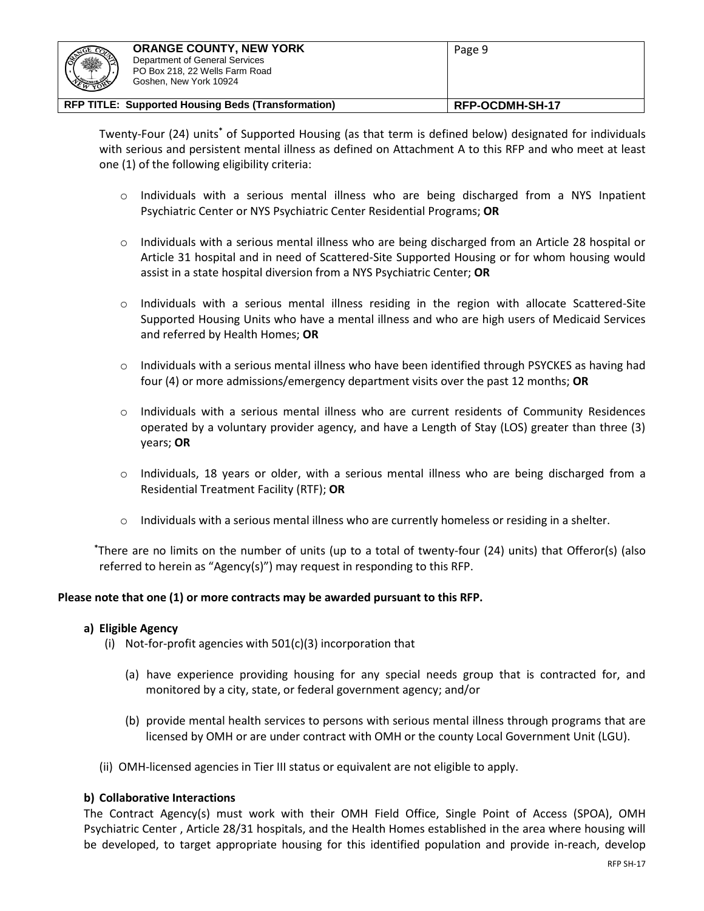| ※<br><b>NEW YORK</b>                                      | <b>ORANGE COUNTY, NEW YORK</b><br>Department of General Services<br>PO Box 218, 22 Wells Farm Road<br>Goshen, New York 10924 | Page 9          |
|-----------------------------------------------------------|------------------------------------------------------------------------------------------------------------------------------|-----------------|
| <b>RFP TITLE: Supported Housing Beds (Transformation)</b> |                                                                                                                              | RFP-OCDMH-SH-17 |

Twenty-Four (24) units**\*** of Supported Housing (as that term is defined below) designated for individuals with serious and persistent mental illness as defined on Attachment A to this RFP and who meet at least one (1) of the following eligibility criteria:

- o Individuals with a serious mental illness who are being discharged from a NYS Inpatient Psychiatric Center or NYS Psychiatric Center Residential Programs; **OR**
- $\circ$  Individuals with a serious mental illness who are being discharged from an Article 28 hospital or Article 31 hospital and in need of Scattered-Site Supported Housing or for whom housing would assist in a state hospital diversion from a NYS Psychiatric Center; **OR**
- o Individuals with a serious mental illness residing in the region with allocate Scattered-Site Supported Housing Units who have a mental illness and who are high users of Medicaid Services and referred by Health Homes; **OR**
- o Individuals with a serious mental illness who have been identified through PSYCKES as having had four (4) or more admissions/emergency department visits over the past 12 months; **OR**
- o Individuals with a serious mental illness who are current residents of Community Residences operated by a voluntary provider agency, and have a Length of Stay (LOS) greater than three (3) years; **OR**
- o Individuals, 18 years or older, with a serious mental illness who are being discharged from a Residential Treatment Facility (RTF); **OR**
- $\circ$  Individuals with a serious mental illness who are currently homeless or residing in a shelter.

**\***There are no limits on the number of units (up to a total of twenty-four (24) units) that Offeror(s) (also referred to herein as "Agency(s)") may request in responding to this RFP.

# **Please note that one (1) or more contracts may be awarded pursuant to this RFP.**

# **a) Eligible Agency**

- (i) Not-for-profit agencies with 501(c)(3) incorporation that
	- (a) have experience providing housing for any special needs group that is contracted for, and monitored by a city, state, or federal government agency; and/or
	- (b) provide mental health services to persons with serious mental illness through programs that are licensed by OMH or are under contract with OMH or the county Local Government Unit (LGU).
- (ii) OMH-licensed agencies in Tier III status or equivalent are not eligible to apply.

# **b) Collaborative Interactions**

The Contract Agency(s) must work with their OMH Field Office, Single Point of Access (SPOA), OMH Psychiatric Center , Article 28/31 hospitals, and the Health Homes established in the area where housing will be developed, to target appropriate housing for this identified population and provide in-reach, develop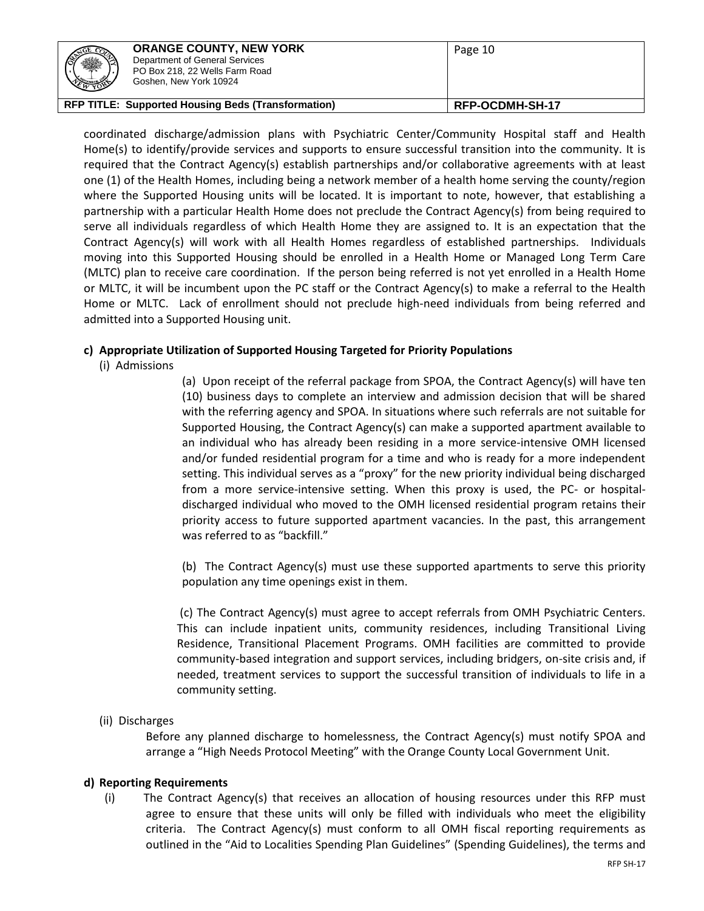| <b>CANTOL COM</b><br>※<br><b>REAL</b>                     | <b>ORANGE COUNTY, NEW YORK</b><br>Department of General Services<br>PO Box 218, 22 Wells Farm Road<br>Goshen, New York 10924 | Page 10         |
|-----------------------------------------------------------|------------------------------------------------------------------------------------------------------------------------------|-----------------|
| <b>RFP TITLE: Supported Housing Beds (Transformation)</b> |                                                                                                                              | RFP-OCDMH-SH-17 |

coordinated discharge/admission plans with Psychiatric Center/Community Hospital staff and Health Home(s) to identify/provide services and supports to ensure successful transition into the community. It is required that the Contract Agency(s) establish partnerships and/or collaborative agreements with at least one (1) of the Health Homes, including being a network member of a health home serving the county/region where the Supported Housing units will be located. It is important to note, however, that establishing a partnership with a particular Health Home does not preclude the Contract Agency(s) from being required to serve all individuals regardless of which Health Home they are assigned to. It is an expectation that the Contract Agency(s) will work with all Health Homes regardless of established partnerships. Individuals moving into this Supported Housing should be enrolled in a Health Home or Managed Long Term Care (MLTC) plan to receive care coordination. If the person being referred is not yet enrolled in a Health Home or MLTC, it will be incumbent upon the PC staff or the Contract Agency(s) to make a referral to the Health Home or MLTC. Lack of enrollment should not preclude high-need individuals from being referred and admitted into a Supported Housing unit.

# **c) Appropriate Utilization of Supported Housing Targeted for Priority Populations**

(i) Admissions

(a) Upon receipt of the referral package from SPOA, the Contract Agency(s) will have ten (10) business days to complete an interview and admission decision that will be shared with the referring agency and SPOA. In situations where such referrals are not suitable for Supported Housing, the Contract Agency(s) can make a supported apartment available to an individual who has already been residing in a more service-intensive OMH licensed and/or funded residential program for a time and who is ready for a more independent setting. This individual serves as a "proxy" for the new priority individual being discharged from a more service-intensive setting. When this proxy is used, the PC- or hospitaldischarged individual who moved to the OMH licensed residential program retains their priority access to future supported apartment vacancies. In the past, this arrangement was referred to as "backfill."

(b) The Contract Agency(s) must use these supported apartments to serve this priority population any time openings exist in them.

(c) The Contract Agency(s) must agree to accept referrals from OMH Psychiatric Centers. This can include inpatient units, community residences, including Transitional Living Residence, Transitional Placement Programs. OMH facilities are committed to provide community-based integration and support services, including bridgers, on-site crisis and, if needed, treatment services to support the successful transition of individuals to life in a community setting.

(ii) Discharges

Before any planned discharge to homelessness, the Contract Agency(s) must notify SPOA and arrange a "High Needs Protocol Meeting" with the Orange County Local Government Unit.

# **d) Reporting Requirements**

(i) The Contract Agency(s) that receives an allocation of housing resources under this RFP must agree to ensure that these units will only be filled with individuals who meet the eligibility criteria. The Contract Agency(s) must conform to all OMH fiscal reporting requirements as outlined in the "Aid to Localities Spending Plan Guidelines" (Spending Guidelines), the terms and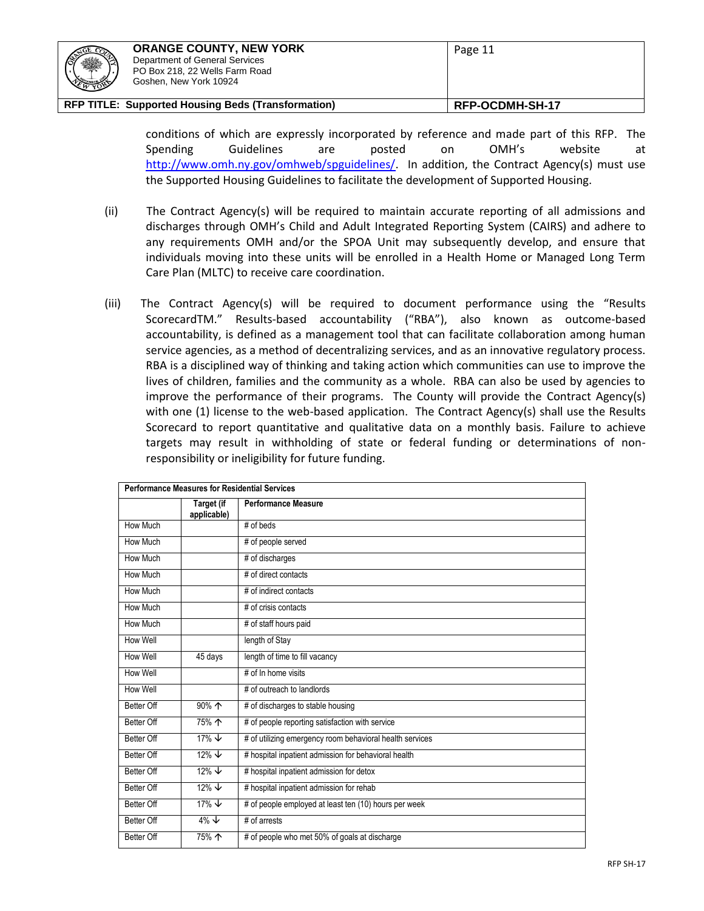| <b>CECO</b><br>ا ۱<br><b>Comment</b> | <b>ORANGE COUNTY, NEW YORK</b><br>Department of General Services<br>PO Box 218, 22 Wells Farm Road<br>Goshen, New York 10924 | Page 11         |
|--------------------------------------|------------------------------------------------------------------------------------------------------------------------------|-----------------|
|                                      | RFP TITLE: Supported Housing Beds (Transformation)                                                                           | RFP-OCDMH-SH-17 |

conditions of which are expressly incorporated by reference and made part of this RFP. The Spending Guidelines are posted on OMH's website at [http://www.omh.ny.gov/omhweb/spguidelines/.](http://www.omh.ny.gov/omhweb/spguidelines/) In addition, the Contract Agency(s) must use the Supported Housing Guidelines to facilitate the development of Supported Housing.

- (ii) The Contract Agency(s) will be required to maintain accurate reporting of all admissions and discharges through OMH's Child and Adult Integrated Reporting System (CAIRS) and adhere to any requirements OMH and/or the SPOA Unit may subsequently develop, and ensure that individuals moving into these units will be enrolled in a Health Home or Managed Long Term Care Plan (MLTC) to receive care coordination.
- (iii) The Contract Agency(s) will be required to document performance using the "Results ScorecardTM." Results-based accountability ("RBA"), also known as outcome-based accountability, is defined as a management tool that can facilitate collaboration among human service agencies, as a method of decentralizing services, and as an innovative regulatory process. RBA is a disciplined way of thinking and taking action which communities can use to improve the lives of children, families and the community as a whole. RBA can also be used by agencies to improve the performance of their programs. The County will provide the Contract Agency(s) with one (1) license to the web-based application. The Contract Agency(s) shall use the Results Scorecard to report quantitative and qualitative data on a monthly basis. Failure to achieve targets may result in withholding of state or federal funding or determinations of nonresponsibility or ineligibility for future funding.

| <b>Performance Measures for Residential Services</b> |                                  |                                                          |
|------------------------------------------------------|----------------------------------|----------------------------------------------------------|
|                                                      | <b>Target (if</b><br>applicable) | <b>Performance Measure</b>                               |
| How Much                                             |                                  | # of beds                                                |
| How Much                                             |                                  | # of people served                                       |
| How Much                                             |                                  | # of discharges                                          |
| How Much                                             |                                  | # of direct contacts                                     |
| How Much                                             |                                  | # of indirect contacts                                   |
| How Much                                             |                                  | # of crisis contacts                                     |
| How Much                                             |                                  | # of staff hours paid                                    |
| How Well                                             |                                  | length of Stay                                           |
| How Well                                             | 45 days                          | length of time to fill vacancy                           |
| How Well                                             |                                  | # of In home visits                                      |
| How Well                                             |                                  | # of outreach to landlords                               |
| Better Off                                           | $90\%$ $\uparrow$                | # of discharges to stable housing                        |
| Better Off                                           | 75% 个                            | # of people reporting satisfaction with service          |
| Better Off                                           | 17% $\downarrow$                 | # of utilizing emergency room behavioral health services |
| Better Off                                           | $12\% \; +$                      | # hospital inpatient admission for behavioral health     |
| Better Off                                           | $12\% \t\downarrow$              | # hospital inpatient admission for detox                 |
| Better Off                                           | $12\% \t\downarrow$              | # hospital inpatient admission for rehab                 |
| Better Off                                           | $\frac{17\%}{\sqrt{2}}$          | # of people employed at least ten (10) hours per week    |
| Better Off                                           | $4\% \t\downarrow$               | # of arrests                                             |
| Better Off                                           | 75% 个                            | # of people who met 50% of goals at discharge            |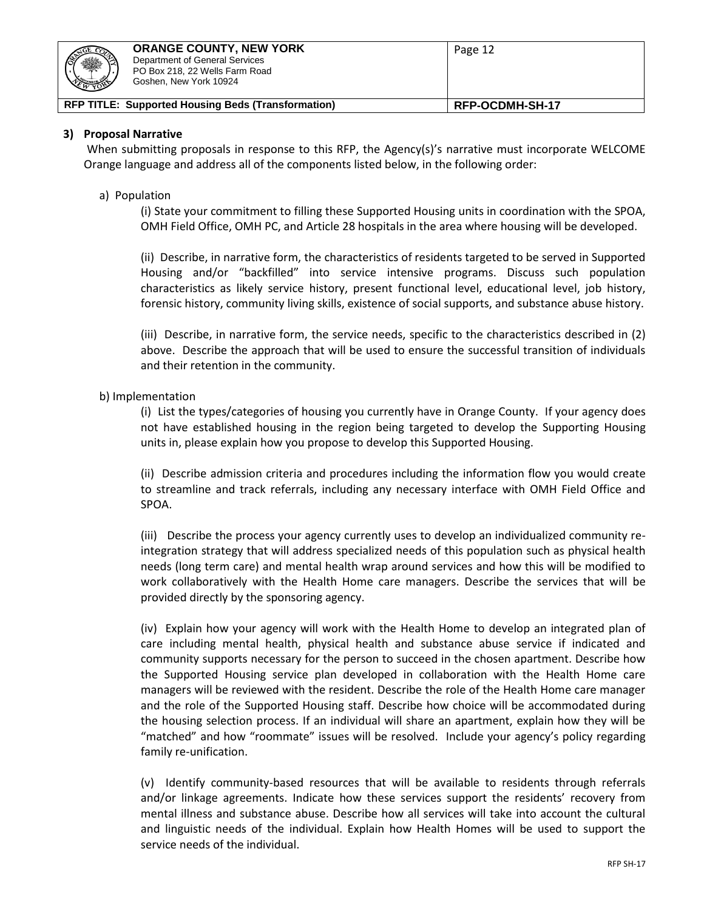

#### **3) Proposal Narrative**

When submitting proposals in response to this RFP, the Agency(s)'s narrative must incorporate WELCOME Orange language and address all of the components listed below, in the following order:

#### a) Population

(i) State your commitment to filling these Supported Housing units in coordination with the SPOA, OMH Field Office, OMH PC, and Article 28 hospitals in the area where housing will be developed.

(ii) Describe, in narrative form, the characteristics of residents targeted to be served in Supported Housing and/or "backfilled" into service intensive programs. Discuss such population characteristics as likely service history, present functional level, educational level, job history, forensic history, community living skills, existence of social supports, and substance abuse history.

(iii) Describe, in narrative form, the service needs, specific to the characteristics described in (2) above. Describe the approach that will be used to ensure the successful transition of individuals and their retention in the community.

#### b) Implementation

(i) List the types/categories of housing you currently have in Orange County. If your agency does not have established housing in the region being targeted to develop the Supporting Housing units in, please explain how you propose to develop this Supported Housing.

(ii) Describe admission criteria and procedures including the information flow you would create to streamline and track referrals, including any necessary interface with OMH Field Office and SPOA.

(iii) Describe the process your agency currently uses to develop an individualized community reintegration strategy that will address specialized needs of this population such as physical health needs (long term care) and mental health wrap around services and how this will be modified to work collaboratively with the Health Home care managers. Describe the services that will be provided directly by the sponsoring agency.

(iv) Explain how your agency will work with the Health Home to develop an integrated plan of care including mental health, physical health and substance abuse service if indicated and community supports necessary for the person to succeed in the chosen apartment. Describe how the Supported Housing service plan developed in collaboration with the Health Home care managers will be reviewed with the resident. Describe the role of the Health Home care manager and the role of the Supported Housing staff. Describe how choice will be accommodated during the housing selection process. If an individual will share an apartment, explain how they will be "matched" and how "roommate" issues will be resolved. Include your agency's policy regarding family re-unification.

(v) Identify community-based resources that will be available to residents through referrals and/or linkage agreements. Indicate how these services support the residents' recovery from mental illness and substance abuse. Describe how all services will take into account the cultural and linguistic needs of the individual. Explain how Health Homes will be used to support the service needs of the individual.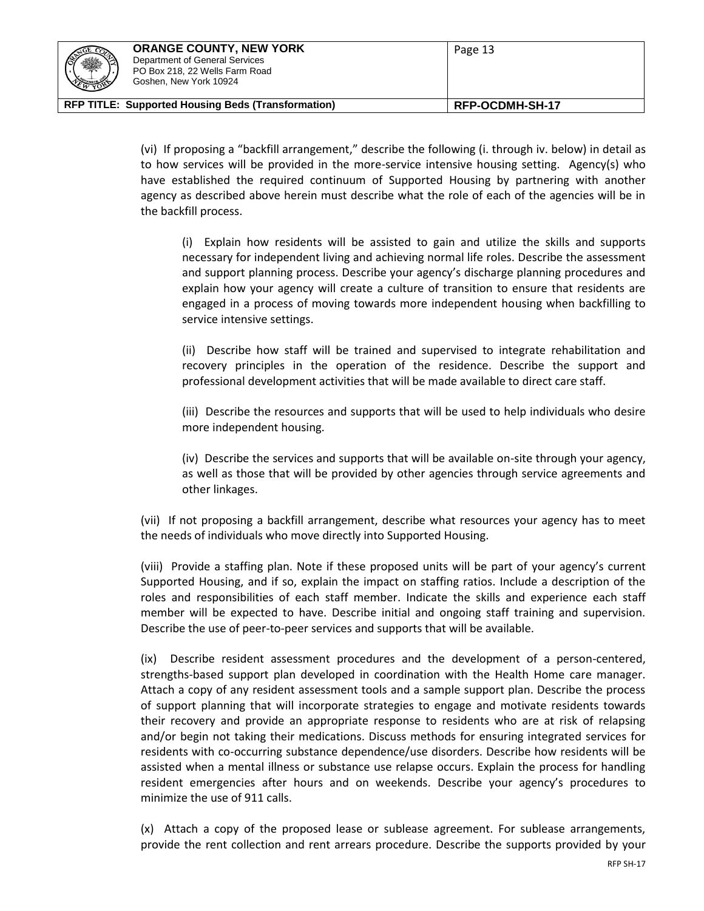| <b>CEO CONTROLL</b><br>ا ۱<br><b>DESCRIPTION</b> | <b>ORANGE COUNTY, NEW YORK</b><br>Department of General Services<br>PO Box 218, 22 Wells Farm Road<br>Goshen, New York 10924 | Page 13         |
|--------------------------------------------------|------------------------------------------------------------------------------------------------------------------------------|-----------------|
|                                                  | RFP TITLE: Supported Housing Beds (Transformation)                                                                           | RFP-OCDMH-SH-17 |

(vi) If proposing a "backfill arrangement," describe the following (i. through iv. below) in detail as to how services will be provided in the more-service intensive housing setting. Agency(s) who have established the required continuum of Supported Housing by partnering with another agency as described above herein must describe what the role of each of the agencies will be in the backfill process.

(i) Explain how residents will be assisted to gain and utilize the skills and supports necessary for independent living and achieving normal life roles. Describe the assessment and support planning process. Describe your agency's discharge planning procedures and explain how your agency will create a culture of transition to ensure that residents are engaged in a process of moving towards more independent housing when backfilling to service intensive settings.

(ii) Describe how staff will be trained and supervised to integrate rehabilitation and recovery principles in the operation of the residence. Describe the support and professional development activities that will be made available to direct care staff.

(iii) Describe the resources and supports that will be used to help individuals who desire more independent housing.

(iv) Describe the services and supports that will be available on-site through your agency, as well as those that will be provided by other agencies through service agreements and other linkages.

(vii) If not proposing a backfill arrangement, describe what resources your agency has to meet the needs of individuals who move directly into Supported Housing.

(viii) Provide a staffing plan. Note if these proposed units will be part of your agency's current Supported Housing, and if so, explain the impact on staffing ratios. Include a description of the roles and responsibilities of each staff member. Indicate the skills and experience each staff member will be expected to have. Describe initial and ongoing staff training and supervision. Describe the use of peer-to-peer services and supports that will be available.

(ix) Describe resident assessment procedures and the development of a person-centered, strengths-based support plan developed in coordination with the Health Home care manager. Attach a copy of any resident assessment tools and a sample support plan. Describe the process of support planning that will incorporate strategies to engage and motivate residents towards their recovery and provide an appropriate response to residents who are at risk of relapsing and/or begin not taking their medications. Discuss methods for ensuring integrated services for residents with co-occurring substance dependence/use disorders. Describe how residents will be assisted when a mental illness or substance use relapse occurs. Explain the process for handling resident emergencies after hours and on weekends. Describe your agency's procedures to minimize the use of 911 calls.

(x) Attach a copy of the proposed lease or sublease agreement. For sublease arrangements, provide the rent collection and rent arrears procedure. Describe the supports provided by your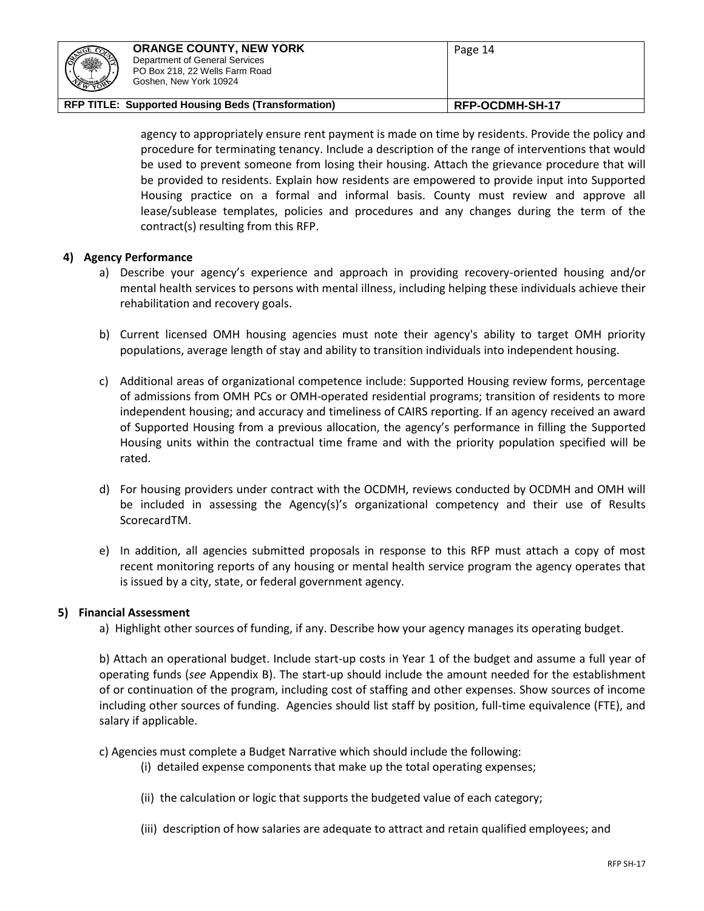| <b>SEPTIMER</b><br>ا ۱<br><b>REAL AND REAL PROPERTY</b> | <b>ORANGE COUNTY, NEW YORK</b><br>Department of General Services<br>PO Box 218, 22 Wells Farm Road<br>Goshen, New York 10924 | Page 14                |
|---------------------------------------------------------|------------------------------------------------------------------------------------------------------------------------------|------------------------|
|                                                         | RFP TITLE: Supported Housing Beds (Transformation)                                                                           | <b>RFP-OCDMH-SH-17</b> |

agency to appropriately ensure rent payment is made on time by residents. Provide the policy and procedure for terminating tenancy. Include a description of the range of interventions that would be used to prevent someone from losing their housing. Attach the grievance procedure that will be provided to residents. Explain how residents are empowered to provide input into Supported Housing practice on a formal and informal basis. County must review and approve all lease/sublease templates, policies and procedures and any changes during the term of the contract(s) resulting from this RFP.

# **4) Agency Performance**

- a) Describe your agency's experience and approach in providing recovery-oriented housing and/or mental health services to persons with mental illness, including helping these individuals achieve their rehabilitation and recovery goals.
- b) Current licensed OMH housing agencies must note their agency's ability to target OMH priority populations, average length of stay and ability to transition individuals into independent housing.
- c) Additional areas of organizational competence include: Supported Housing review forms, percentage of admissions from OMH PCs or OMH-operated residential programs; transition of residents to more independent housing; and accuracy and timeliness of CAIRS reporting. If an agency received an award of Supported Housing from a previous allocation, the agency's performance in filling the Supported Housing units within the contractual time frame and with the priority population specified will be rated.
- d) For housing providers under contract with the OCDMH, reviews conducted by OCDMH and OMH will be included in assessing the Agency(s)'s organizational competency and their use of Results ScorecardTM.
- e) In addition, all agencies submitted proposals in response to this RFP must attach a copy of most recent monitoring reports of any housing or mental health service program the agency operates that is issued by a city, state, or federal government agency.

# **5) Financial Assessment**

a) Highlight other sources of funding, if any. Describe how your agency manages its operating budget.

b) Attach an operational budget. Include start-up costs in Year 1 of the budget and assume a full year of operating funds (*see* Appendix B). The start-up should include the amount needed for the establishment of or continuation of the program, including cost of staffing and other expenses. Show sources of income including other sources of funding. Agencies should list staff by position, full-time equivalence (FTE), and salary if applicable.

c) Agencies must complete a Budget Narrative which should include the following:

- (i) detailed expense components that make up the total operating expenses;
- (ii) the calculation or logic that supports the budgeted value of each category;
- (iii) description of how salaries are adequate to attract and retain qualified employees; and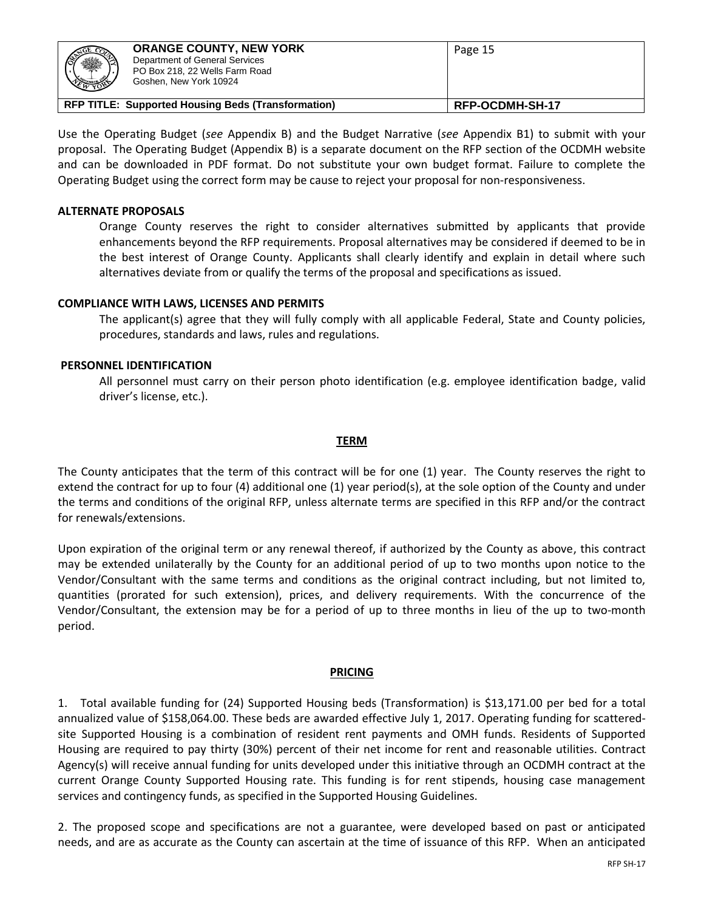| ※                                                         | <b>ORANGE COUNTY, NEW YORK</b><br>Department of General Services<br>PO Box 218, 22 Wells Farm Road<br>Goshen, New York 10924 | Page 15         |
|-----------------------------------------------------------|------------------------------------------------------------------------------------------------------------------------------|-----------------|
| <b>RFP TITLE: Supported Housing Beds (Transformation)</b> |                                                                                                                              | RFP-OCDMH-SH-17 |

Use the Operating Budget (*see* Appendix B) and the Budget Narrative (*see* Appendix B1) to submit with your proposal. The Operating Budget (Appendix B) is a separate document on the RFP section of the OCDMH website and can be downloaded in PDF format. Do not substitute your own budget format. Failure to complete the Operating Budget using the correct form may be cause to reject your proposal for non-responsiveness.

# **ALTERNATE PROPOSALS**

Orange County reserves the right to consider alternatives submitted by applicants that provide enhancements beyond the RFP requirements. Proposal alternatives may be considered if deemed to be in the best interest of Orange County. Applicants shall clearly identify and explain in detail where such alternatives deviate from or qualify the terms of the proposal and specifications as issued.

# **COMPLIANCE WITH LAWS, LICENSES AND PERMITS**

The applicant(s) agree that they will fully comply with all applicable Federal, State and County policies, procedures, standards and laws, rules and regulations.

# **PERSONNEL IDENTIFICATION**

All personnel must carry on their person photo identification (e.g. employee identification badge, valid driver's license, etc.).

# **TERM**

The County anticipates that the term of this contract will be for one (1) year. The County reserves the right to extend the contract for up to four (4) additional one (1) year period(s), at the sole option of the County and under the terms and conditions of the original RFP, unless alternate terms are specified in this RFP and/or the contract for renewals/extensions.

Upon expiration of the original term or any renewal thereof, if authorized by the County as above, this contract may be extended unilaterally by the County for an additional period of up to two months upon notice to the Vendor/Consultant with the same terms and conditions as the original contract including, but not limited to, quantities (prorated for such extension), prices, and delivery requirements. With the concurrence of the Vendor/Consultant, the extension may be for a period of up to three months in lieu of the up to two-month period.

# **PRICING**

1. Total available funding for (24) Supported Housing beds (Transformation) is \$13,171.00 per bed for a total annualized value of \$158,064.00. These beds are awarded effective July 1, 2017. Operating funding for scatteredsite Supported Housing is a combination of resident rent payments and OMH funds. Residents of Supported Housing are required to pay thirty (30%) percent of their net income for rent and reasonable utilities. Contract Agency(s) will receive annual funding for units developed under this initiative through an OCDMH contract at the current Orange County Supported Housing rate. This funding is for rent stipends, housing case management services and contingency funds, as specified in the Supported Housing Guidelines.

2. The proposed scope and specifications are not a guarantee, were developed based on past or anticipated needs, and are as accurate as the County can ascertain at the time of issuance of this RFP. When an anticipated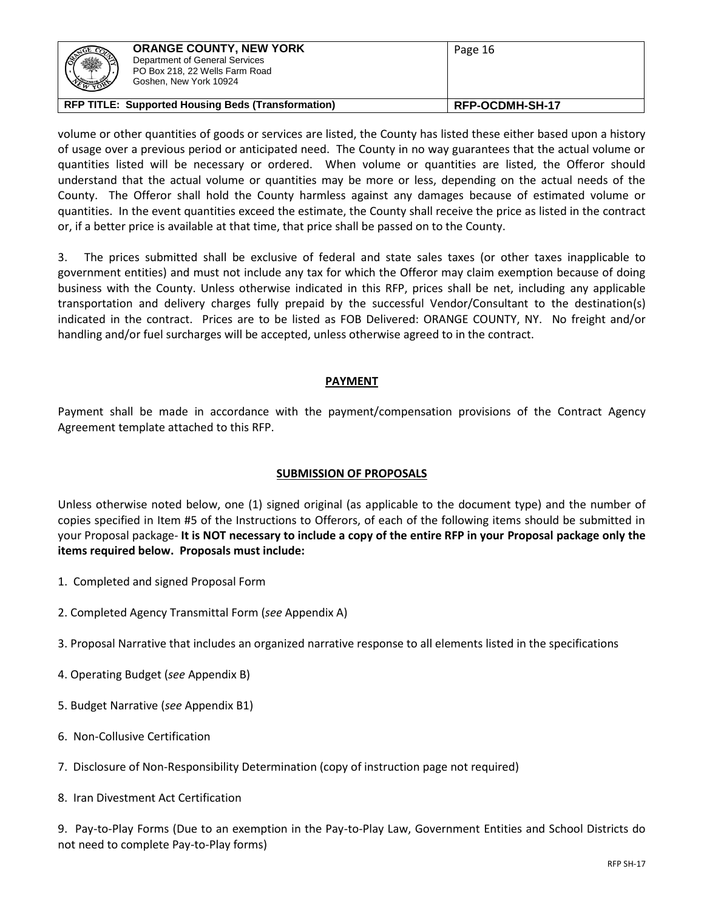| ※                                                         | <b>ORANGE COUNTY, NEW YORK</b><br>Department of General Services<br>PO Box 218, 22 Wells Farm Road<br>Goshen, New York 10924 | Page 16         |
|-----------------------------------------------------------|------------------------------------------------------------------------------------------------------------------------------|-----------------|
| <b>RFP TITLE: Supported Housing Beds (Transformation)</b> |                                                                                                                              | RFP-OCDMH-SH-17 |

volume or other quantities of goods or services are listed, the County has listed these either based upon a history of usage over a previous period or anticipated need. The County in no way guarantees that the actual volume or quantities listed will be necessary or ordered. When volume or quantities are listed, the Offeror should understand that the actual volume or quantities may be more or less, depending on the actual needs of the County. The Offeror shall hold the County harmless against any damages because of estimated volume or quantities. In the event quantities exceed the estimate, the County shall receive the price as listed in the contract or, if a better price is available at that time, that price shall be passed on to the County.

3. The prices submitted shall be exclusive of federal and state sales taxes (or other taxes inapplicable to government entities) and must not include any tax for which the Offeror may claim exemption because of doing business with the County. Unless otherwise indicated in this RFP, prices shall be net, including any applicable transportation and delivery charges fully prepaid by the successful Vendor/Consultant to the destination(s) indicated in the contract. Prices are to be listed as FOB Delivered: ORANGE COUNTY, NY. No freight and/or handling and/or fuel surcharges will be accepted, unless otherwise agreed to in the contract.

# **PAYMENT**

Payment shall be made in accordance with the payment/compensation provisions of the Contract Agency Agreement template attached to this RFP.

# **SUBMISSION OF PROPOSALS**

Unless otherwise noted below, one (1) signed original (as applicable to the document type) and the number of copies specified in Item #5 of the Instructions to Offerors, of each of the following items should be submitted in your Proposal package- **It is NOT necessary to include a copy of the entire RFP in your Proposal package only the items required below. Proposals must include:**

- 1. Completed and signed Proposal Form
- 2. Completed Agency Transmittal Form (*see* Appendix A)
- 3. Proposal Narrative that includes an organized narrative response to all elements listed in the specifications
- 4. Operating Budget (*see* Appendix B)
- 5. Budget Narrative (*see* Appendix B1)
- 6. Non-Collusive Certification
- 7. Disclosure of Non-Responsibility Determination (copy of instruction page not required)
- 8. Iran Divestment Act Certification

9. Pay-to-Play Forms (Due to an exemption in the Pay-to-Play Law, Government Entities and School Districts do not need to complete Pay-to-Play forms)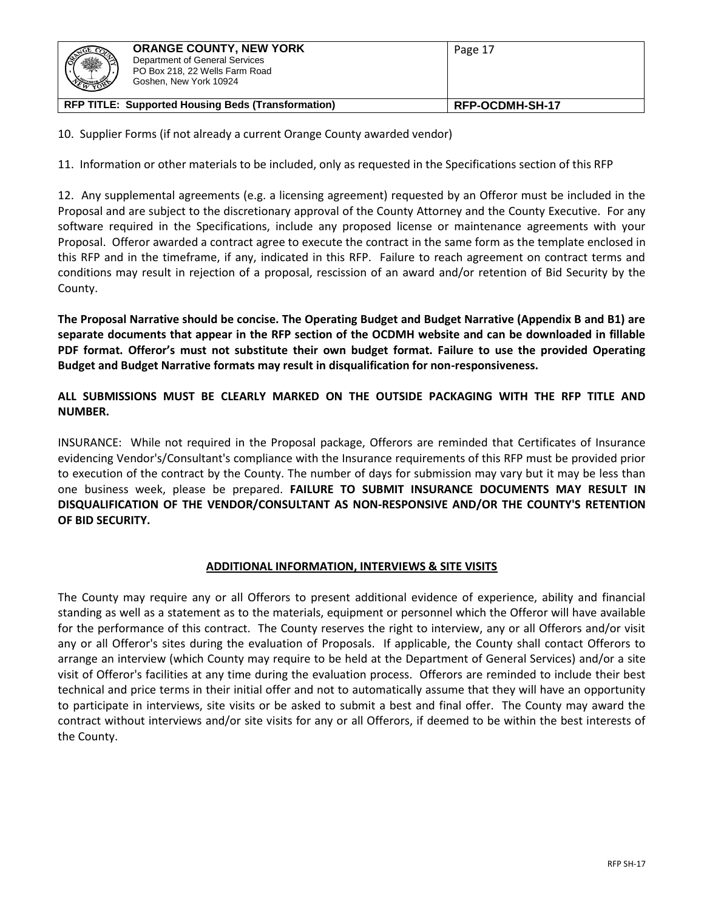|                                                           | <b>ORANGE COUNTY, NEW YORK</b><br>Department of General Services<br>PO Box 218, 22 Wells Farm Road<br>Goshen, New York 10924 | Page 17         |
|-----------------------------------------------------------|------------------------------------------------------------------------------------------------------------------------------|-----------------|
| <b>RFP TITLE: Supported Housing Beds (Transformation)</b> |                                                                                                                              | RFP-OCDMH-SH-17 |

10. Supplier Forms (if not already a current Orange County awarded vendor)

11. Information or other materials to be included, only as requested in the Specifications section of this RFP

12. Any supplemental agreements (e.g. a licensing agreement) requested by an Offeror must be included in the Proposal and are subject to the discretionary approval of the County Attorney and the County Executive. For any software required in the Specifications, include any proposed license or maintenance agreements with your Proposal. Offeror awarded a contract agree to execute the contract in the same form as the template enclosed in this RFP and in the timeframe, if any, indicated in this RFP. Failure to reach agreement on contract terms and conditions may result in rejection of a proposal, rescission of an award and/or retention of Bid Security by the County.

**The Proposal Narrative should be concise. The Operating Budget and Budget Narrative (Appendix B and B1) are separate documents that appear in the RFP section of the OCDMH website and can be downloaded in fillable**  PDF format. Offeror's must not substitute their own budget format. Failure to use the provided Operating **Budget and Budget Narrative formats may result in disqualification for non-responsiveness.**

**ALL SUBMISSIONS MUST BE CLEARLY MARKED ON THE OUTSIDE PACKAGING WITH THE RFP TITLE AND NUMBER.**

INSURANCE: While not required in the Proposal package, Offerors are reminded that Certificates of Insurance evidencing Vendor's/Consultant's compliance with the Insurance requirements of this RFP must be provided prior to execution of the contract by the County. The number of days for submission may vary but it may be less than one business week, please be prepared. **FAILURE TO SUBMIT INSURANCE DOCUMENTS MAY RESULT IN DISQUALIFICATION OF THE VENDOR/CONSULTANT AS NON-RESPONSIVE AND/OR THE COUNTY'S RETENTION OF BID SECURITY.**

# **ADDITIONAL INFORMATION, INTERVIEWS & SITE VISITS**

The County may require any or all Offerors to present additional evidence of experience, ability and financial standing as well as a statement as to the materials, equipment or personnel which the Offeror will have available for the performance of this contract. The County reserves the right to interview, any or all Offerors and/or visit any or all Offeror's sites during the evaluation of Proposals. If applicable, the County shall contact Offerors to arrange an interview (which County may require to be held at the Department of General Services) and/or a site visit of Offeror's facilities at any time during the evaluation process. Offerors are reminded to include their best technical and price terms in their initial offer and not to automatically assume that they will have an opportunity to participate in interviews, site visits or be asked to submit a best and final offer. The County may award the contract without interviews and/or site visits for any or all Offerors, if deemed to be within the best interests of the County.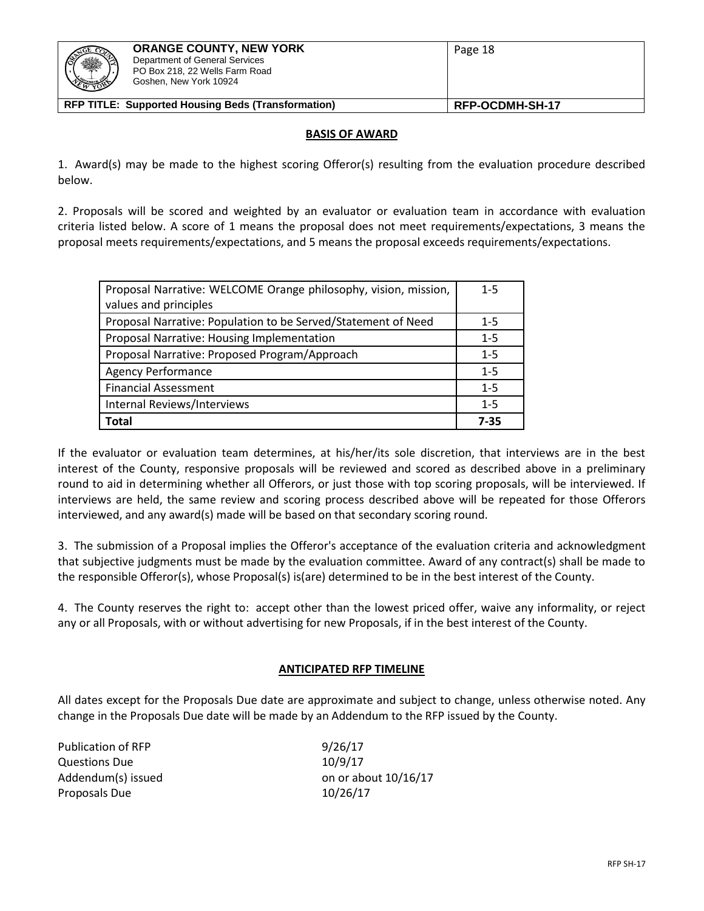| <b>CELEDOR</b><br>Department of General Services<br>ا ۱<br>PO Box 218, 22 Wells Farm Road<br><b>REAL AND ROAD</b><br>Goshen, New York 10924 | Page 18         |
|---------------------------------------------------------------------------------------------------------------------------------------------|-----------------|
| RFP TITLE: Supported Housing Beds (Transformation)                                                                                          | RFP-OCDMH-SH-17 |

#### **BASIS OF AWARD**

1. Award(s) may be made to the highest scoring Offeror(s) resulting from the evaluation procedure described below.

2. Proposals will be scored and weighted by an evaluator or evaluation team in accordance with evaluation criteria listed below. A score of 1 means the proposal does not meet requirements/expectations, 3 means the proposal meets requirements/expectations, and 5 means the proposal exceeds requirements/expectations.

| Proposal Narrative: WELCOME Orange philosophy, vision, mission, | $1 - 5$ |
|-----------------------------------------------------------------|---------|
| values and principles                                           |         |
| Proposal Narrative: Population to be Served/Statement of Need   | $1-5$   |
| Proposal Narrative: Housing Implementation                      | $1 - 5$ |
| Proposal Narrative: Proposed Program/Approach                   | $1 - 5$ |
| <b>Agency Performance</b>                                       | $1 - 5$ |
| <b>Financial Assessment</b>                                     | $1 - 5$ |
| Internal Reviews/Interviews                                     | $1 - 5$ |
| Total                                                           | 7-35    |

If the evaluator or evaluation team determines, at his/her/its sole discretion, that interviews are in the best interest of the County, responsive proposals will be reviewed and scored as described above in a preliminary round to aid in determining whether all Offerors, or just those with top scoring proposals, will be interviewed. If interviews are held, the same review and scoring process described above will be repeated for those Offerors interviewed, and any award(s) made will be based on that secondary scoring round.

3. The submission of a Proposal implies the Offeror's acceptance of the evaluation criteria and acknowledgment that subjective judgments must be made by the evaluation committee. Award of any contract(s) shall be made to the responsible Offeror(s), whose Proposal(s) is(are) determined to be in the best interest of the County.

4. The County reserves the right to: accept other than the lowest priced offer, waive any informality, or reject any or all Proposals, with or without advertising for new Proposals, if in the best interest of the County.

# **ANTICIPATED RFP TIMELINE**

All dates except for the Proposals Due date are approximate and subject to change, unless otherwise noted. Any change in the Proposals Due date will be made by an Addendum to the RFP issued by the County.

Publication of RFP 9/26/17 Questions Due 10/9/17 Proposals Due 10/26/17

Addendum(s) issued on or about 10/16/17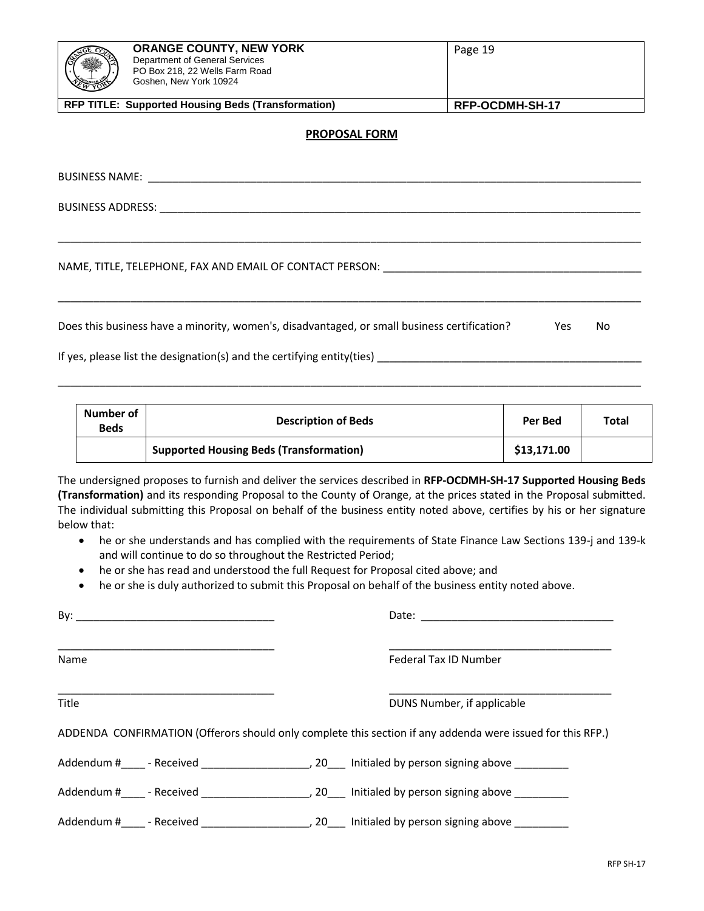| EMBER | <b>ORANGE COUNTY, NEW YORK</b><br>Department of General Services<br>PO Box 218, 22 Wells Farm Road<br>Goshen, New York 10924 | Page 19         |
|-------|------------------------------------------------------------------------------------------------------------------------------|-----------------|
|       | <b>RFP TITLE: Supported Housing Beds (Transformation)</b>                                                                    | RFP-OCDMH-SH-17 |

#### **PROPOSAL FORM**

\_\_\_\_\_\_\_\_\_\_\_\_\_\_\_\_\_\_\_\_\_\_\_\_\_\_\_\_\_\_\_\_\_\_\_\_\_\_\_\_\_\_\_\_\_\_\_\_\_\_\_\_\_\_\_\_\_\_\_\_\_\_\_\_\_\_\_\_\_\_\_\_\_\_\_\_\_\_\_\_\_\_\_\_\_\_\_\_\_\_\_\_\_\_\_\_\_

\_\_\_\_\_\_\_\_\_\_\_\_\_\_\_\_\_\_\_\_\_\_\_\_\_\_\_\_\_\_\_\_\_\_\_\_\_\_\_\_\_\_\_\_\_\_\_\_\_\_\_\_\_\_\_\_\_\_\_\_\_\_\_\_\_\_\_\_\_\_\_\_\_\_\_\_\_\_\_\_\_\_\_\_\_\_\_\_\_\_\_\_\_\_\_\_\_

\_\_\_\_\_\_\_\_\_\_\_\_\_\_\_\_\_\_\_\_\_\_\_\_\_\_\_\_\_\_\_\_\_\_\_\_\_\_\_\_\_\_\_\_\_\_\_\_\_\_\_\_\_\_\_\_\_\_\_\_\_\_\_\_\_\_\_\_\_\_\_\_\_\_\_\_\_\_\_\_\_\_\_\_\_\_\_\_\_\_\_\_\_\_\_\_\_

BUSINESS NAME: \_\_\_\_\_\_\_\_\_\_\_\_\_\_\_\_\_\_\_\_\_\_\_\_\_\_\_\_\_\_\_\_\_\_\_\_\_\_\_\_\_\_\_\_\_\_\_\_\_\_\_\_\_\_\_\_\_\_\_\_\_\_\_\_\_\_\_\_\_\_\_\_\_\_\_\_\_\_\_\_\_\_

BUSINESS ADDRESS: \_\_\_\_\_\_\_\_\_\_\_\_\_\_\_\_\_\_\_\_\_\_\_\_\_\_\_\_\_\_\_\_\_\_\_\_\_\_\_\_\_\_\_\_\_\_\_\_\_\_\_\_\_\_\_\_\_\_\_\_\_\_\_\_\_\_\_\_\_\_\_\_\_\_\_\_\_\_\_\_

NAME, TITLE, TELEPHONE, FAX AND EMAIL OF CONTACT PERSON: \_\_\_\_\_\_\_\_\_\_\_\_\_\_\_\_\_\_\_\_\_\_\_\_\_\_\_\_\_\_\_\_\_\_\_\_\_\_\_\_\_\_\_

Does this business have a minority, women's, disadvantaged, or small business certification? Yes No

If yes, please list the designation(s) and the certifying entity(ties) \_\_\_\_\_\_\_\_\_\_\_\_\_\_\_\_\_\_\_\_\_\_\_\_\_\_\_\_\_\_\_\_\_\_\_\_\_\_\_\_\_\_\_\_

| Number of<br><b>Beds</b> | <b>Description of Beds</b>                     | Per Bed     | Total |
|--------------------------|------------------------------------------------|-------------|-------|
|                          | <b>Supported Housing Beds (Transformation)</b> | \$13,171.00 |       |

The undersigned proposes to furnish and deliver the services described in **RFP-OCDMH-SH-17 Supported Housing Beds (Transformation)** and its responding Proposal to the County of Orange, at the prices stated in the Proposal submitted. The individual submitting this Proposal on behalf of the business entity noted above, certifies by his or her signature below that:

- he or she understands and has complied with the requirements of State Finance Law Sections 139-j and 139-k and will continue to do so throughout the Restricted Period;
- he or she has read and understood the full Request for Proposal cited above; and
- he or she is duly authorized to submit this Proposal on behalf of the business entity noted above.

| Name  | Federal Tax ID Number                                                                                      |
|-------|------------------------------------------------------------------------------------------------------------|
| Title | DUNS Number, if applicable                                                                                 |
|       | ADDENDA CONFIRMATION (Offerors should only complete this section if any addenda were issued for this RFP.) |
|       |                                                                                                            |
|       |                                                                                                            |
|       |                                                                                                            |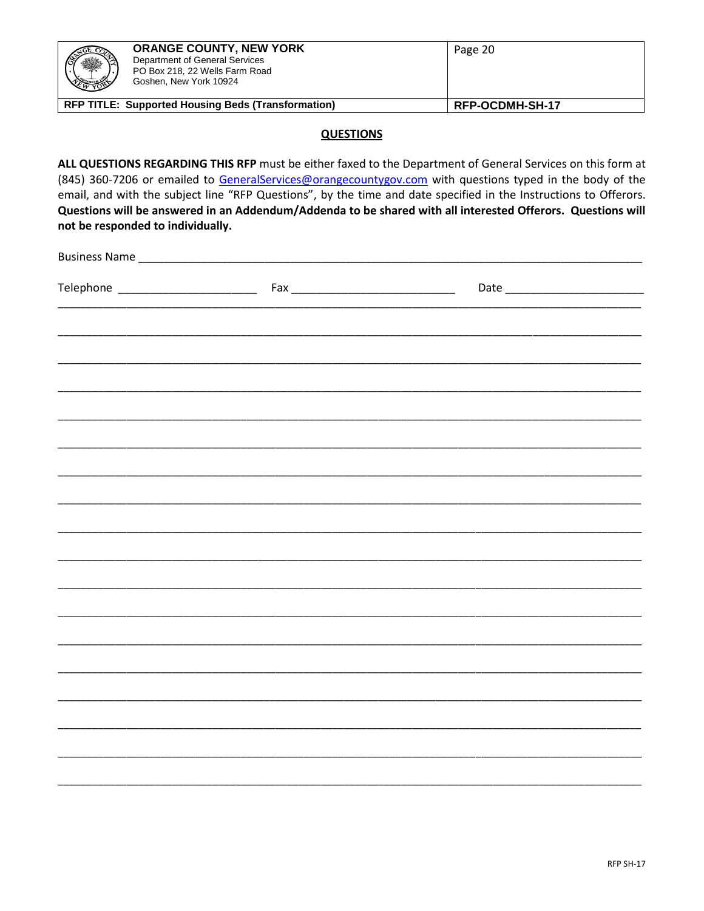| Goshen, New York 10924                                                                                                                                                                                                                                                                                                                                                                                                                                                                           | <b>ORANGE COUNTY, NEW YORK</b><br>Department of General Services<br>PO Box 218, 22 Wells Farm Road |                  | Page 20         |  |
|--------------------------------------------------------------------------------------------------------------------------------------------------------------------------------------------------------------------------------------------------------------------------------------------------------------------------------------------------------------------------------------------------------------------------------------------------------------------------------------------------|----------------------------------------------------------------------------------------------------|------------------|-----------------|--|
| RFP TITLE: Supported Housing Beds (Transformation)                                                                                                                                                                                                                                                                                                                                                                                                                                               |                                                                                                    |                  | RFP-OCDMH-SH-17 |  |
|                                                                                                                                                                                                                                                                                                                                                                                                                                                                                                  |                                                                                                    | <b>QUESTIONS</b> |                 |  |
| ALL QUESTIONS REGARDING THIS RFP must be either faxed to the Department of General Services on this form at<br>(845) 360-7206 or emailed to GeneralServices@orangecountygov.com with questions typed in the body of the<br>email, and with the subject line "RFP Questions", by the time and date specified in the Instructions to Offerors.<br>Questions will be answered in an Addendum/Addenda to be shared with all interested Offerors. Questions will<br>not be responded to individually. |                                                                                                    |                  |                 |  |
| Business Name and the contract of the contract of the contract of the contract of the contract of the contract of the contract of the contract of the contract of the contract of the contract of the contract of the contract                                                                                                                                                                                                                                                                   |                                                                                                    |                  |                 |  |
|                                                                                                                                                                                                                                                                                                                                                                                                                                                                                                  |                                                                                                    |                  |                 |  |
|                                                                                                                                                                                                                                                                                                                                                                                                                                                                                                  |                                                                                                    |                  |                 |  |
|                                                                                                                                                                                                                                                                                                                                                                                                                                                                                                  |                                                                                                    |                  |                 |  |
|                                                                                                                                                                                                                                                                                                                                                                                                                                                                                                  |                                                                                                    |                  |                 |  |
|                                                                                                                                                                                                                                                                                                                                                                                                                                                                                                  |                                                                                                    |                  |                 |  |
|                                                                                                                                                                                                                                                                                                                                                                                                                                                                                                  |                                                                                                    |                  |                 |  |
|                                                                                                                                                                                                                                                                                                                                                                                                                                                                                                  |                                                                                                    |                  |                 |  |
|                                                                                                                                                                                                                                                                                                                                                                                                                                                                                                  |                                                                                                    |                  |                 |  |
|                                                                                                                                                                                                                                                                                                                                                                                                                                                                                                  |                                                                                                    |                  |                 |  |
|                                                                                                                                                                                                                                                                                                                                                                                                                                                                                                  |                                                                                                    |                  |                 |  |
|                                                                                                                                                                                                                                                                                                                                                                                                                                                                                                  |                                                                                                    |                  |                 |  |
|                                                                                                                                                                                                                                                                                                                                                                                                                                                                                                  |                                                                                                    |                  |                 |  |
|                                                                                                                                                                                                                                                                                                                                                                                                                                                                                                  |                                                                                                    |                  |                 |  |
|                                                                                                                                                                                                                                                                                                                                                                                                                                                                                                  |                                                                                                    |                  |                 |  |
|                                                                                                                                                                                                                                                                                                                                                                                                                                                                                                  |                                                                                                    |                  |                 |  |
|                                                                                                                                                                                                                                                                                                                                                                                                                                                                                                  |                                                                                                    |                  |                 |  |
|                                                                                                                                                                                                                                                                                                                                                                                                                                                                                                  |                                                                                                    |                  |                 |  |
|                                                                                                                                                                                                                                                                                                                                                                                                                                                                                                  |                                                                                                    |                  |                 |  |
|                                                                                                                                                                                                                                                                                                                                                                                                                                                                                                  |                                                                                                    |                  |                 |  |
|                                                                                                                                                                                                                                                                                                                                                                                                                                                                                                  |                                                                                                    |                  |                 |  |
|                                                                                                                                                                                                                                                                                                                                                                                                                                                                                                  |                                                                                                    |                  |                 |  |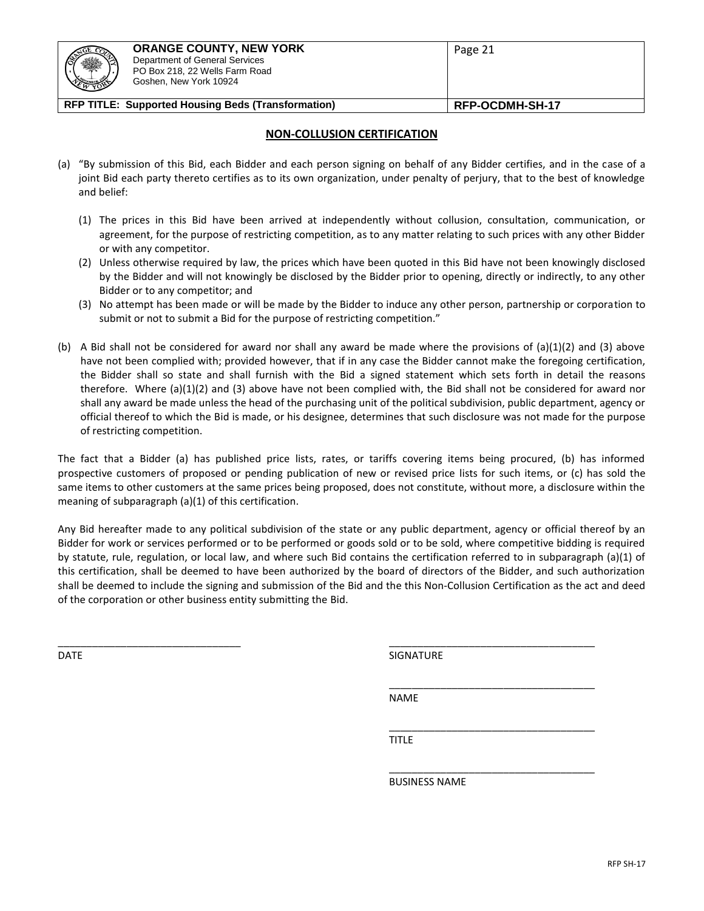| (F)<br>$\frac{1}{2}$ | <b>ORANGE COUNTY, NEW YORK</b><br>Department of General Services<br>PO Box 218, 22 Wells Farm Road<br>Goshen, New York 10924 | Page 21         |
|----------------------|------------------------------------------------------------------------------------------------------------------------------|-----------------|
|                      | <b>RFP TITLE: Supported Housing Beds (Transformation)</b>                                                                    | RFP-OCDMH-SH-17 |

#### **NON-COLLUSION CERTIFICATION**

- (a) "By submission of this Bid, each Bidder and each person signing on behalf of any Bidder certifies, and in the case of a joint Bid each party thereto certifies as to its own organization, under penalty of perjury, that to the best of knowledge and belief:
	- (1) The prices in this Bid have been arrived at independently without collusion, consultation, communication, or agreement, for the purpose of restricting competition, as to any matter relating to such prices with any other Bidder or with any competitor.
	- (2) Unless otherwise required by law, the prices which have been quoted in this Bid have not been knowingly disclosed by the Bidder and will not knowingly be disclosed by the Bidder prior to opening, directly or indirectly, to any other Bidder or to any competitor; and
	- (3) No attempt has been made or will be made by the Bidder to induce any other person, partnership or corporation to submit or not to submit a Bid for the purpose of restricting competition."
- (b) A Bid shall not be considered for award nor shall any award be made where the provisions of (a)(1)(2) and (3) above have not been complied with; provided however, that if in any case the Bidder cannot make the foregoing certification, the Bidder shall so state and shall furnish with the Bid a signed statement which sets forth in detail the reasons therefore. Where (a)(1)(2) and (3) above have not been complied with, the Bid shall not be considered for award nor shall any award be made unless the head of the purchasing unit of the political subdivision, public department, agency or official thereof to which the Bid is made, or his designee, determines that such disclosure was not made for the purpose of restricting competition.

The fact that a Bidder (a) has published price lists, rates, or tariffs covering items being procured, (b) has informed prospective customers of proposed or pending publication of new or revised price lists for such items, or (c) has sold the same items to other customers at the same prices being proposed, does not constitute, without more, a disclosure within the meaning of subparagraph (a)(1) of this certification.

Any Bid hereafter made to any political subdivision of the state or any public department, agency or official thereof by an Bidder for work or services performed or to be performed or goods sold or to be sold, where competitive bidding is required by statute, rule, regulation, or local law, and where such Bid contains the certification referred to in subparagraph (a)(1) of this certification, shall be deemed to have been authorized by the board of directors of the Bidder, and such authorization shall be deemed to include the signing and submission of the Bid and the this Non-Collusion Certification as the act and deed of the corporation or other business entity submitting the Bid.

 $\overline{\phantom{a}}$  , and the contribution of the contribution of the contribution of the contribution of the contribution of the contribution of the contribution of the contribution of the contribution of the contribution of the DATE SIGNATURE AND SIGNATURE SIGNATURE AND SIGNATURE AND SIGNATURE AND SIGNATURE AND SIGNATURE AND SIGNATURE AND SIGNATURE AND SIGNATURE AND SIGNATURE AND SIGNATURE AND SIGNATURE AND SIGNATURE AND SIGNATURE AND SIGNATURE A

\_\_\_\_\_\_\_\_\_\_\_\_\_\_\_\_\_\_\_\_\_\_\_\_\_\_\_\_\_\_\_\_\_\_\_\_

\_\_\_\_\_\_\_\_\_\_\_\_\_\_\_\_\_\_\_\_\_\_\_\_\_\_\_\_\_\_\_\_\_\_\_\_

\_\_\_\_\_\_\_\_\_\_\_\_\_\_\_\_\_\_\_\_\_\_\_\_\_\_\_\_\_\_\_\_\_\_\_\_

NAME

TITLE

BUSINESS NAME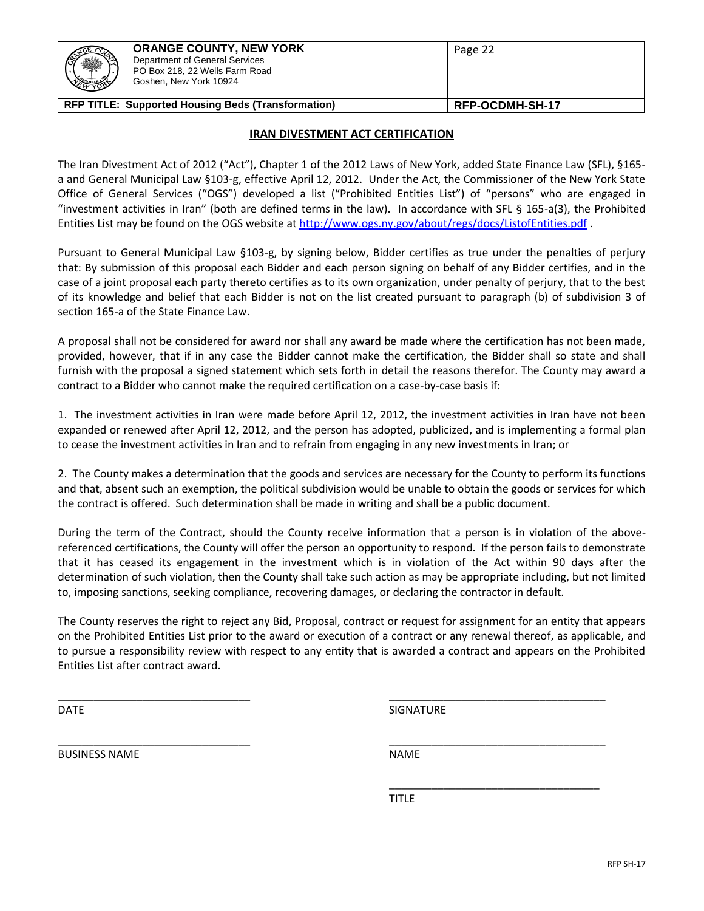# **IRAN DIVESTMENT ACT CERTIFICATION**

The Iran Divestment Act of 2012 ("Act"), Chapter 1 of the 2012 Laws of New York, added State Finance Law (SFL), §165 a and General Municipal Law §103-g, effective April 12, 2012. Under the Act, the Commissioner of the New York State Office of General Services ("OGS") developed a list ("Prohibited Entities List") of "persons" who are engaged in "investment activities in Iran" (both are defined terms in the law). In accordance with SFL § 165-a(3), the Prohibited Entities List may be found on the OGS website a[t http://www.ogs.ny.gov/about/regs/docs/ListofEntities.pdf](http://www.ogs.ny.gov/about/regs/docs/ListofEntities.pdf) .

Pursuant to General Municipal Law §103-g, by signing below, Bidder certifies as true under the penalties of perjury that: By submission of this proposal each Bidder and each person signing on behalf of any Bidder certifies, and in the case of a joint proposal each party thereto certifies as to its own organization, under penalty of perjury, that to the best of its knowledge and belief that each Bidder is not on the list created pursuant to paragraph (b) of subdivision 3 of section 165-a of the State Finance Law.

A proposal shall not be considered for award nor shall any award be made where the certification has not been made, provided, however, that if in any case the Bidder cannot make the certification, the Bidder shall so state and shall furnish with the proposal a signed statement which sets forth in detail the reasons therefor. The County may award a contract to a Bidder who cannot make the required certification on a case-by-case basis if:

1. The investment activities in Iran were made before April 12, 2012, the investment activities in Iran have not been expanded or renewed after April 12, 2012, and the person has adopted, publicized, and is implementing a formal plan to cease the investment activities in Iran and to refrain from engaging in any new investments in Iran; or

2. The County makes a determination that the goods and services are necessary for the County to perform its functions and that, absent such an exemption, the political subdivision would be unable to obtain the goods or services for which the contract is offered. Such determination shall be made in writing and shall be a public document.

During the term of the Contract, should the County receive information that a person is in violation of the abovereferenced certifications, the County will offer the person an opportunity to respond. If the person fails to demonstrate that it has ceased its engagement in the investment which is in violation of the Act within 90 days after the determination of such violation, then the County shall take such action as may be appropriate including, but not limited to, imposing sanctions, seeking compliance, recovering damages, or declaring the contractor in default.

The County reserves the right to reject any Bid, Proposal, contract or request for assignment for an entity that appears on the Prohibited Entities List prior to the award or execution of a contract or any renewal thereof, as applicable, and to pursue a responsibility review with respect to any entity that is awarded a contract and appears on the Prohibited Entities List after contract award.

\_\_\_\_\_\_\_\_\_\_\_\_\_\_\_\_\_\_\_\_\_\_\_\_\_\_\_\_\_\_\_\_ \_\_\_\_\_\_\_\_\_\_\_\_\_\_\_\_\_\_\_\_\_\_\_\_\_\_\_\_\_\_\_\_\_\_\_\_

BUSINESS NAME NAME

\_\_\_\_\_\_\_\_\_\_\_\_\_\_\_\_\_\_\_\_\_\_\_\_\_\_\_\_\_\_\_\_\_\_\_ TITLE

\_\_\_\_\_\_\_\_\_\_\_\_\_\_\_\_\_\_\_\_\_\_\_\_\_\_\_\_\_\_\_\_ \_\_\_\_\_\_\_\_\_\_\_\_\_\_\_\_\_\_\_\_\_\_\_\_\_\_\_\_\_\_\_\_\_\_\_\_ DATE SIGNATURE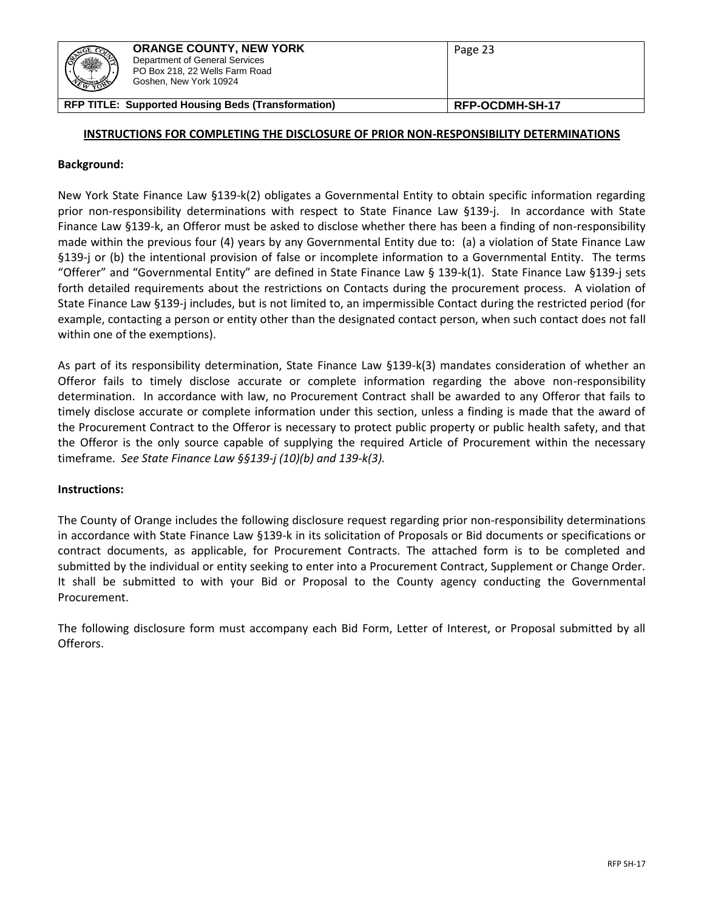| 131<br>. A | <b>ORANGE COUNTY, NEW YORK</b><br>Department of General Services<br>PO Box 218, 22 Wells Farm Road<br>Goshen, New York 10924 | Page 23         |
|------------|------------------------------------------------------------------------------------------------------------------------------|-----------------|
|            | <b>RFP TITLE: Supported Housing Beds (Transformation)</b>                                                                    | RFP-OCDMH-SH-17 |

#### **INSTRUCTIONS FOR COMPLETING THE DISCLOSURE OF PRIOR NON-RESPONSIBILITY DETERMINATIONS**

#### **Background:**

New York State Finance Law §139-k(2) obligates a Governmental Entity to obtain specific information regarding prior non-responsibility determinations with respect to State Finance Law §139-j. In accordance with State Finance Law §139-k, an Offeror must be asked to disclose whether there has been a finding of non-responsibility made within the previous four (4) years by any Governmental Entity due to: (a) a violation of State Finance Law §139-j or (b) the intentional provision of false or incomplete information to a Governmental Entity. The terms "Offerer" and "Governmental Entity" are defined in State Finance Law § 139-k(1). State Finance Law §139-j sets forth detailed requirements about the restrictions on Contacts during the procurement process. A violation of State Finance Law §139-j includes, but is not limited to, an impermissible Contact during the restricted period (for example, contacting a person or entity other than the designated contact person, when such contact does not fall within one of the exemptions).

As part of its responsibility determination, State Finance Law §139-k(3) mandates consideration of whether an Offeror fails to timely disclose accurate or complete information regarding the above non-responsibility determination. In accordance with law, no Procurement Contract shall be awarded to any Offeror that fails to timely disclose accurate or complete information under this section, unless a finding is made that the award of the Procurement Contract to the Offeror is necessary to protect public property or public health safety, and that the Offeror is the only source capable of supplying the required Article of Procurement within the necessary timeframe. *See State Finance Law §§139-j (10)(b) and 139-k(3).*

#### **Instructions:**

The County of Orange includes the following disclosure request regarding prior non-responsibility determinations in accordance with State Finance Law §139-k in its solicitation of Proposals or Bid documents or specifications or contract documents, as applicable, for Procurement Contracts. The attached form is to be completed and submitted by the individual or entity seeking to enter into a Procurement Contract, Supplement or Change Order. It shall be submitted to with your Bid or Proposal to the County agency conducting the Governmental Procurement.

The following disclosure form must accompany each Bid Form, Letter of Interest, or Proposal submitted by all Offerors.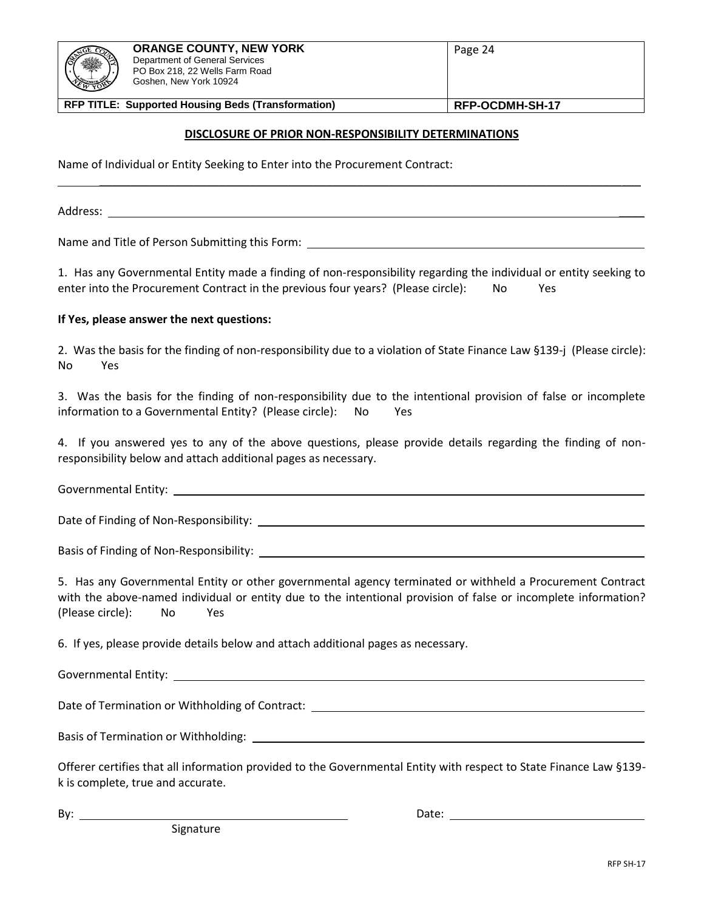| <b>ORANGE COUNTY, NEW YORK</b><br>Department of General Services<br>PO Box 218, 22 Wells Farm Road<br>Goshen, New York 10924 | Page 24 |
|------------------------------------------------------------------------------------------------------------------------------|---------|
|                                                                                                                              |         |
|                                                                                                                              |         |

#### **DISCLOSURE OF PRIOR NON-RESPONSIBILITY DETERMINATIONS**

\_\_\_\_\_\_\_\_\_\_\_\_\_\_\_\_\_\_\_\_\_\_\_\_\_\_\_\_\_\_\_\_\_\_\_\_\_\_\_\_\_\_\_\_\_\_\_\_\_\_\_\_\_\_\_\_\_\_\_\_\_\_\_\_\_\_\_\_\_\_\_\_\_\_\_\_\_\_\_\_\_\_\_\_\_\_

Name of Individual or Entity Seeking to Enter into the Procurement Contract:

Address: \_\_\_\_

Name and Title of Person Submitting this Form:

1. Has any Governmental Entity made a finding of non-responsibility regarding the individual or entity seeking to enter into the Procurement Contract in the previous four years? (Please circle): No Yes

#### **If Yes, please answer the next questions:**

2. Was the basis for the finding of non-responsibility due to a violation of State Finance Law §139-j (Please circle): No Yes

3. Was the basis for the finding of non-responsibility due to the intentional provision of false or incomplete information to a Governmental Entity? (Please circle): No Yes

4. If you answered yes to any of the above questions, please provide details regarding the finding of nonresponsibility below and attach additional pages as necessary.

Governmental Entity: \_\_\_\_\_\_

Date of Finding of Non-Responsibility: \_\_\_\_\_\_\_\_\_\_\_

Basis of Finding of Non-Responsibility:

5. Has any Governmental Entity or other governmental agency terminated or withheld a Procurement Contract with the above-named individual or entity due to the intentional provision of false or incomplete information? (Please circle): No Yes

6. If yes, please provide details below and attach additional pages as necessary.

Governmental Entity:

Date of Termination or Withholding of Contract:

Basis of Termination or Withholding: \_\_\_\_\_\_\_\_\_\_\_\_\_

Offerer certifies that all information provided to the Governmental Entity with respect to State Finance Law §139 k is complete, true and accurate.

By: Date: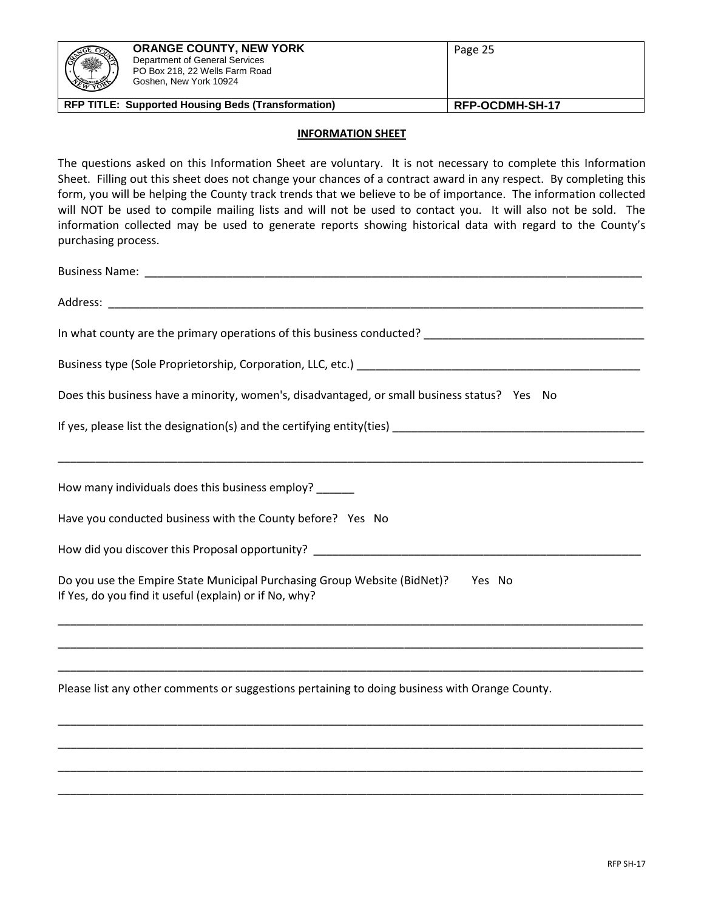| <b>PARTICLE</b><br>A | <b>ORANGE COUNTY, NEW YORK</b><br>Department of General Services<br>PO Box 218, 22 Wells Farm Road<br>Goshen, New York 10924 | Page 25         |
|----------------------|------------------------------------------------------------------------------------------------------------------------------|-----------------|
|                      | <b>RFP TITLE: Supported Housing Beds (Transformation)</b>                                                                    | RFP-OCDMH-SH-17 |

#### **INFORMATION SHEET**

The questions asked on this Information Sheet are voluntary. It is not necessary to complete this Information Sheet. Filling out this sheet does not change your chances of a contract award in any respect. By completing this form, you will be helping the County track trends that we believe to be of importance. The information collected will NOT be used to compile mailing lists and will not be used to contact you. It will also not be sold. The information collected may be used to generate reports showing historical data with regard to the County's purchasing process.

| Does this business have a minority, women's, disadvantaged, or small business status? Yes No                                              |
|-------------------------------------------------------------------------------------------------------------------------------------------|
|                                                                                                                                           |
| How many individuals does this business employ? ______                                                                                    |
| Have you conducted business with the County before? Yes No                                                                                |
|                                                                                                                                           |
| Do you use the Empire State Municipal Purchasing Group Website (BidNet)? Yes No<br>If Yes, do you find it useful (explain) or if No, why? |
|                                                                                                                                           |
| Please list any other comments or suggestions pertaining to doing business with Orange County.                                            |
|                                                                                                                                           |
|                                                                                                                                           |

\_\_\_\_\_\_\_\_\_\_\_\_\_\_\_\_\_\_\_\_\_\_\_\_\_\_\_\_\_\_\_\_\_\_\_\_\_\_\_\_\_\_\_\_\_\_\_\_\_\_\_\_\_\_\_\_\_\_\_\_\_\_\_\_\_\_\_\_\_\_\_\_\_\_\_\_\_\_\_\_\_\_\_\_\_\_\_\_\_\_\_\_\_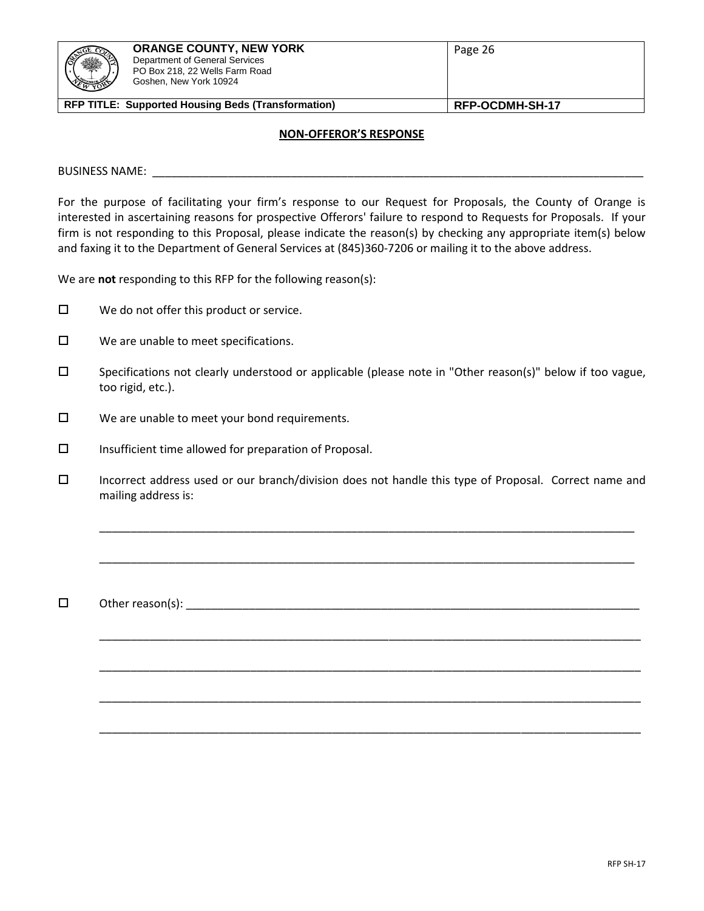#### **NON-OFFEROR'S RESPONSE**

BUSINESS NAME: \_\_\_\_\_\_\_\_\_\_\_\_\_\_\_\_\_\_\_\_\_\_\_\_\_\_\_\_\_\_\_\_\_\_\_\_\_\_\_\_\_\_\_\_\_\_\_\_\_\_\_\_\_\_\_\_\_\_\_\_\_\_\_\_\_\_\_\_\_\_\_\_\_\_\_\_\_\_

For the purpose of facilitating your firm's response to our Request for Proposals, the County of Orange is interested in ascertaining reasons for prospective Offerors' failure to respond to Requests for Proposals. If your firm is not responding to this Proposal, please indicate the reason(s) by checking any appropriate item(s) below and faxing it to the Department of General Services at (845)360-7206 or mailing it to the above address.

We are **not** responding to this RFP for the following reason(s):

- $\Box$  We do not offer this product or service.
- $\square$  We are unable to meet specifications.
- □ Specifications not clearly understood or applicable (please note in "Other reason(s)" below if too vague, too rigid, etc.).
- $\square$  We are unable to meet your bond requirements.
- $\square$  Insufficient time allowed for preparation of Proposal.
- Incorrect address used or our branch/division does not handle this type of Proposal. Correct name and mailing address is:

\_\_\_\_\_\_\_\_\_\_\_\_\_\_\_\_\_\_\_\_\_\_\_\_\_\_\_\_\_\_\_\_\_\_\_\_\_\_\_\_\_\_\_\_\_\_\_\_\_\_\_\_\_\_\_\_\_\_\_\_\_\_\_\_\_\_\_\_\_\_\_\_\_\_\_\_\_\_\_\_\_\_\_\_\_

\_\_\_\_\_\_\_\_\_\_\_\_\_\_\_\_\_\_\_\_\_\_\_\_\_\_\_\_\_\_\_\_\_\_\_\_\_\_\_\_\_\_\_\_\_\_\_\_\_\_\_\_\_\_\_\_\_\_\_\_\_\_\_\_\_\_\_\_\_\_\_\_\_\_\_\_\_\_\_\_\_\_\_\_\_

\_\_\_\_\_\_\_\_\_\_\_\_\_\_\_\_\_\_\_\_\_\_\_\_\_\_\_\_\_\_\_\_\_\_\_\_\_\_\_\_\_\_\_\_\_\_\_\_\_\_\_\_\_\_\_\_\_\_\_\_\_\_\_\_\_\_\_\_\_\_\_\_\_\_\_\_\_\_\_\_\_\_\_\_\_\_

\_\_\_\_\_\_\_\_\_\_\_\_\_\_\_\_\_\_\_\_\_\_\_\_\_\_\_\_\_\_\_\_\_\_\_\_\_\_\_\_\_\_\_\_\_\_\_\_\_\_\_\_\_\_\_\_\_\_\_\_\_\_\_\_\_\_\_\_\_\_\_\_\_\_\_\_\_\_\_\_\_\_\_\_\_\_

\_\_\_\_\_\_\_\_\_\_\_\_\_\_\_\_\_\_\_\_\_\_\_\_\_\_\_\_\_\_\_\_\_\_\_\_\_\_\_\_\_\_\_\_\_\_\_\_\_\_\_\_\_\_\_\_\_\_\_\_\_\_\_\_\_\_\_\_\_\_\_\_\_\_\_\_\_\_\_\_\_\_\_\_\_\_

\_\_\_\_\_\_\_\_\_\_\_\_\_\_\_\_\_\_\_\_\_\_\_\_\_\_\_\_\_\_\_\_\_\_\_\_\_\_\_\_\_\_\_\_\_\_\_\_\_\_\_\_\_\_\_\_\_\_\_\_\_\_\_\_\_\_\_\_\_\_\_\_\_\_\_\_\_\_\_\_\_\_\_\_\_\_

 $\Box$  Other reason(s):